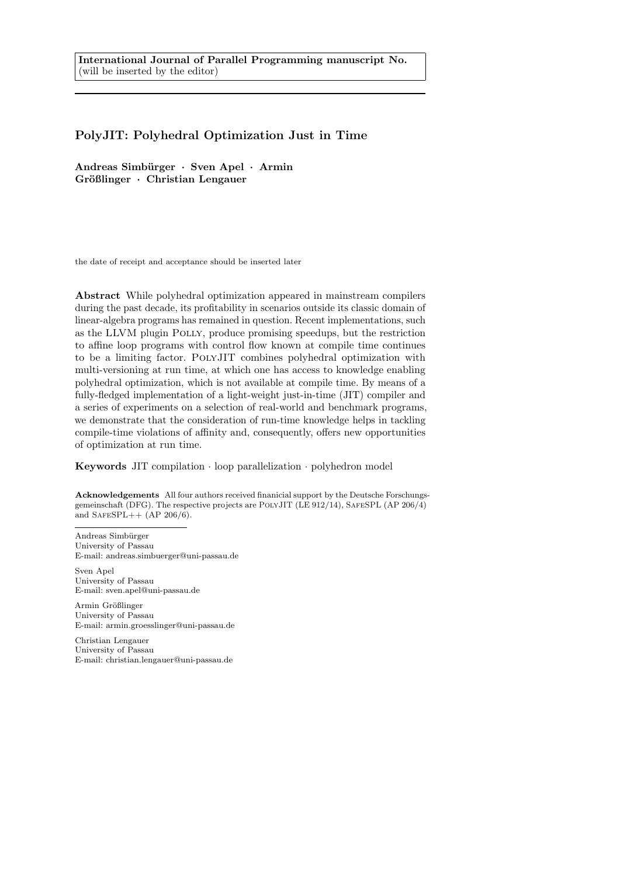# PolyJIT: Polyhedral Optimization Just in Time

Andreas Simbürger  $\cdot$  Sven Apel  $\cdot$  Armin Größlinger · Christian Lengauer

the date of receipt and acceptance should be inserted later

Abstract While polyhedral optimization appeared in mainstream compilers during the past decade, its profitability in scenarios outside its classic domain of linear-algebra programs has remained in question. Recent implementations, such as the LLVM plugin Polly, produce promising speedups, but the restriction to affine loop programs with control flow known at compile time continues to be a limiting factor. PolyJIT combines polyhedral optimization with multi-versioning at run time, at which one has access to knowledge enabling polyhedral optimization, which is not available at compile time. By means of a fully-fledged implementation of a light-weight just-in-time (JIT) compiler and a series of experiments on a selection of real-world and benchmark programs, we demonstrate that the consideration of run-time knowledge helps in tackling compile-time violations of affinity and, consequently, offers new opportunities of optimization at run time.

Keywords JIT compilation · loop parallelization · polyhedron model

Acknowledgements All four authors received finanicial support by the Deutsche Forschungsgemeinschaft (DFG). The respective projects are PolyJIT (LE 912/14), SafeSPL (AP 206/4) and  $SAFESPL++(AP 206/6).$ 

Andreas Simbürger University of Passau E-mail: andreas.simbuerger@uni-passau.de

Sven Apel University of Passau E-mail: sven.apel@uni-passau.de

Armin Größlinger University of Passau E-mail: armin.groesslinger@uni-passau.de

Christian Lengauer University of Passau E-mail: christian.lengauer@uni-passau.de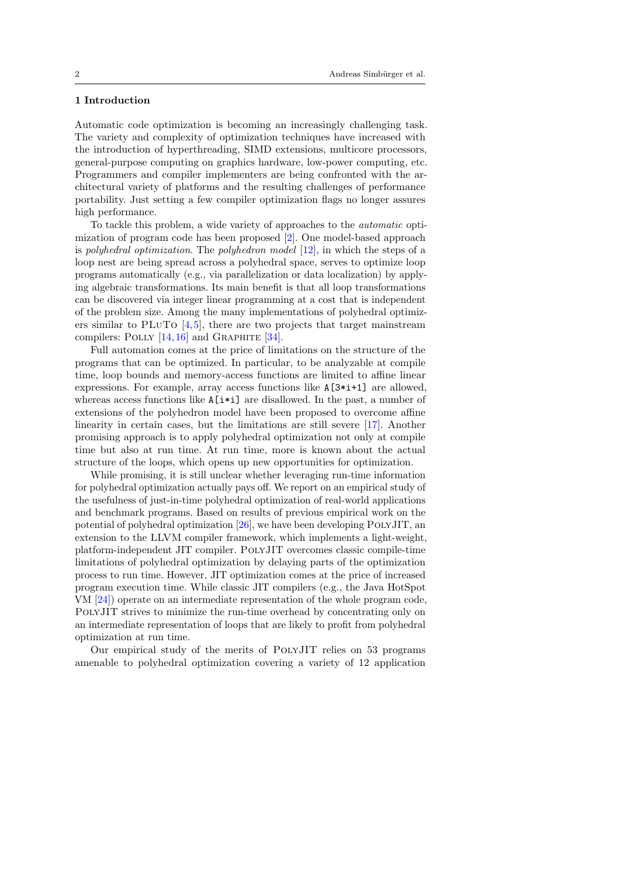## 1 Introduction

Automatic code optimization is becoming an increasingly challenging task. The variety and complexity of optimization techniques have increased with the introduction of hyperthreading, SIMD extensions, multicore processors, general-purpose computing on graphics hardware, low-power computing, etc. Programmers and compiler implementers are being confronted with the architectural variety of platforms and the resulting challenges of performance portability. Just setting a few compiler optimization flags no longer assures high performance.

To tackle this problem, a wide variety of approaches to the automatic optimization of program code has been proposed [\[2\]](#page-28-0). One model-based approach is polyhedral optimization. The polyhedron model [\[12\]](#page-28-1), in which the steps of a loop nest are being spread across a polyhedral space, serves to optimize loop programs automatically (e.g., via parallelization or data localization) by applying algebraic transformations. Its main benefit is that all loop transformations can be discovered via integer linear programming at a cost that is independent of the problem size. Among the many implementations of polyhedral optimizers similar to PLuTo  $[4,5]$  $[4,5]$ , there are two projects that target mainstream compilers: POLLY  $[14, 16]$  $[14, 16]$  $[14, 16]$  and GRAPHITE  $[34]$ .

Full automation comes at the price of limitations on the structure of the programs that can be optimized. In particular, to be analyzable at compile time, loop bounds and memory-access functions are limited to affine linear expressions. For example, array access functions like A[3\*i+1] are allowed, whereas access functions like  $A[i*ij]$  are disallowed. In the past, a number of extensions of the polyhedron model have been proposed to overcome affine linearity in certain cases, but the limitations are still severe [\[17\]](#page-29-2). Another promising approach is to apply polyhedral optimization not only at compile time but also at run time. At run time, more is known about the actual structure of the loops, which opens up new opportunities for optimization.

While promising, it is still unclear whether leveraging run-time information for polyhedral optimization actually pays off. We report on an empirical study of the usefulness of just-in-time polyhedral optimization of real-world applications and benchmark programs. Based on results of previous empirical work on the potential of polyhedral optimization [\[26\]](#page-29-3), we have been developing PolyJIT, an extension to the LLVM compiler framework, which implements a light-weight, platform-independent JIT compiler. PolyJIT overcomes classic compile-time limitations of polyhedral optimization by delaying parts of the optimization process to run time. However, JIT optimization comes at the price of increased program execution time. While classic JIT compilers (e.g., the Java HotSpot VM [\[24\]](#page-29-4)) operate on an intermediate representation of the whole program code, PolyJIT strives to minimize the run-time overhead by concentrating only on an intermediate representation of loops that are likely to profit from polyhedral optimization at run time.

Our empirical study of the merits of PolyJIT relies on 53 programs amenable to polyhedral optimization covering a variety of 12 application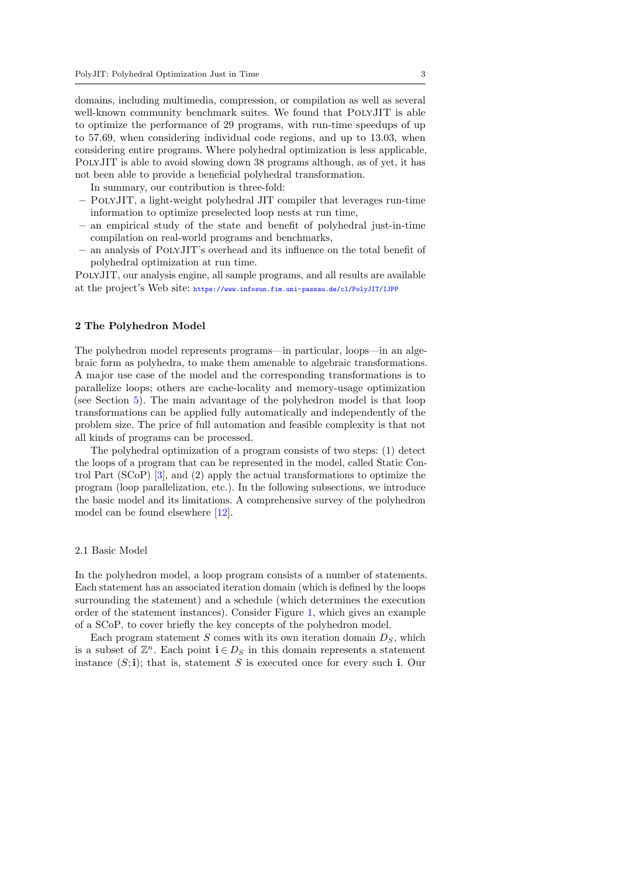domains, including multimedia, compression, or compilation as well as several well-known community benchmark suites. We found that POLYJIT is able to optimize the performance of 29 programs, with run-time speedups of up to 57.69, when considering individual code regions, and up to 13.03, when considering entire programs. Where polyhedral optimization is less applicable, PolyJIT is able to avoid slowing down 38 programs although, as of yet, it has not been able to provide a beneficial polyhedral transformation.

In summary, our contribution is three-fold:

- PolyJIT, a light-weight polyhedral JIT compiler that leverages run-time information to optimize preselected loop nests at run time,
- an empirical study of the state and benefit of polyhedral just-in-time compilation on real-world programs and benchmarks,
- an analysis of PolyJIT's overhead and its influence on the total benefit of polyhedral optimization at run time.

PolyJIT, our analysis engine, all sample programs, and all results are available at the project's Web site: <https://www.infosun.fim.uni-passau.de/cl/PolyJIT/IJPP>

## <span id="page-2-0"></span>2 The Polyhedron Model

The polyhedron model represents programs—in particular, loops—in an algebraic form as polyhedra, to make them amenable to algebraic transformations. A major use case of the model and the corresponding transformations is to parallelize loops; others are cache-locality and memory-usage optimization (see Section [5\)](#page-26-0). The main advantage of the polyhedron model is that loop transformations can be applied fully automatically and independently of the problem size. The price of full automation and feasible complexity is that not all kinds of programs can be processed.

The polyhedral optimization of a program consists of two steps: (1) detect the loops of a program that can be represented in the model, called Static Control Part (SCoP) [\[3\]](#page-28-5), and (2) apply the actual transformations to optimize the program (loop parallelization, etc.). In the following subsections, we introduce the basic model and its limitations. A comprehensive survey of the polyhedron model can be found elsewhere [\[12\]](#page-28-1).

## 2.1 Basic Model

In the polyhedron model, a loop program consists of a number of statements. Each statement has an associated iteration domain (which is defined by the loops surrounding the statement) and a schedule (which determines the execution order of the statement instances). Consider Figure [1,](#page-3-0) which gives an example of a SCoP, to cover briefly the key concepts of the polyhedron model.

Each program statement S comes with its own iteration domain  $D<sub>S</sub>$ , which is a subset of  $\mathbb{Z}^n$ . Each point  $\mathbf{i} \in D_S$  in this domain represents a statement instance  $(S; \mathbf{i})$ ; that is, statement S is executed once for every such i. Our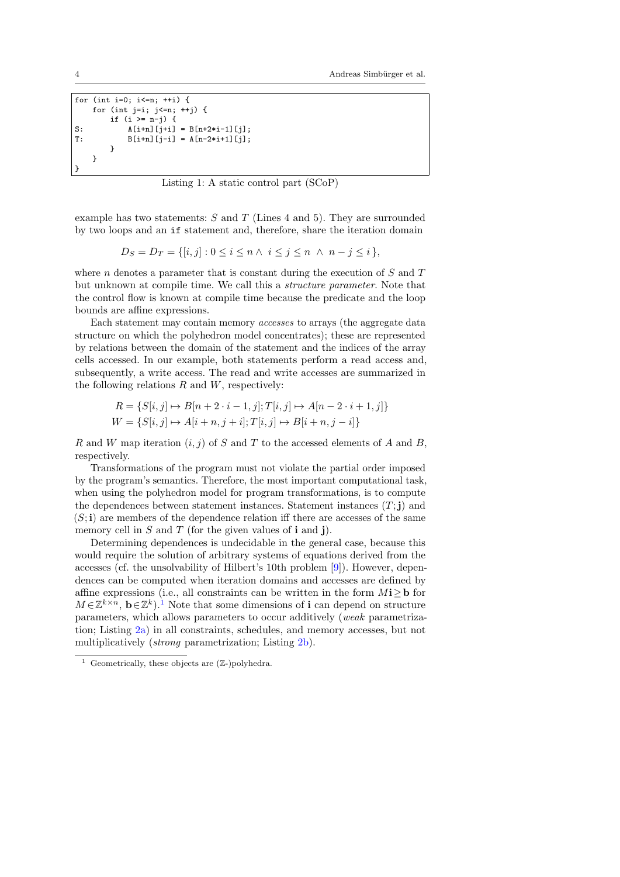```
for (int i=0; i<=n; ++i) {
   for (int j=i; j \le n; ++j) {
       if (i \ge n-j) {
S: A[i+n][j+i] = B[n+2+i-1][j];T: B[i+n][j-i] = A[n-2*i+1][j];}
   }
}
```
Listing 1: A static control part (SCoP)

example has two statements:  $S$  and  $T$  (Lines 4 and 5). They are surrounded by two loops and an if statement and, therefore, share the iteration domain

$$
D_S = D_T = \{ [i, j] : 0 \le i \le n \land i \le j \le n \land n - j \le i \},\
$$

where n denotes a parameter that is constant during the execution of  $S$  and  $T$ but unknown at compile time. We call this a structure parameter. Note that the control flow is known at compile time because the predicate and the loop bounds are affine expressions.

Each statement may contain memory accesses to arrays (the aggregate data structure on which the polyhedron model concentrates); these are represented by relations between the domain of the statement and the indices of the array cells accessed. In our example, both statements perform a read access and, subsequently, a write access. The read and write accesses are summarized in the following relations  $R$  and  $W$ , respectively:

$$
R = \{S[i,j] \mapsto B[n+2 \cdot i-1,j]; T[i,j] \mapsto A[n-2 \cdot i+1,j] \}
$$
  

$$
W = \{S[i,j] \mapsto A[i+n,j+i]; T[i,j] \mapsto B[i+n,j-i] \}
$$

R and W map iteration  $(i, j)$  of S and T to the accessed elements of A and B, respectively.

Transformations of the program must not violate the partial order imposed by the program's semantics. Therefore, the most important computational task, when using the polyhedron model for program transformations, is to compute the dependences between statement instances. Statement instances  $(T; j)$  and  $(S; \mathbf{i})$  are members of the dependence relation iff there are accesses of the same memory cell in  $S$  and  $T$  (for the given values of **i** and **j**).

Determining dependences is undecidable in the general case, because this would require the solution of arbitrary systems of equations derived from the accesses (cf. the unsolvability of Hilbert's 10th problem [\[9\]](#page-28-6)). However, dependences can be computed when iteration domains and accesses are defined by affine expressions (i.e., all constraints can be written in the form  $Mi \geq b$  for  $M \in \mathbb{Z}^{k \times n}$ ,  $\mathbf{b} \in \mathbb{Z}^k$ .<sup>[1](#page-3-1)</sup> Note that some dimensions of **i** can depend on structure parameters, which allows parameters to occur additively (weak parametrization; Listing [2a\)](#page-4-0) in all constraints, schedules, and memory accesses, but not multiplicatively (strong parametrization; Listing [2b\)](#page-4-1).

<span id="page-3-1"></span><sup>&</sup>lt;sup>1</sup> Geometrically, these objects are  $(\mathbb{Z})$ -polyhedra.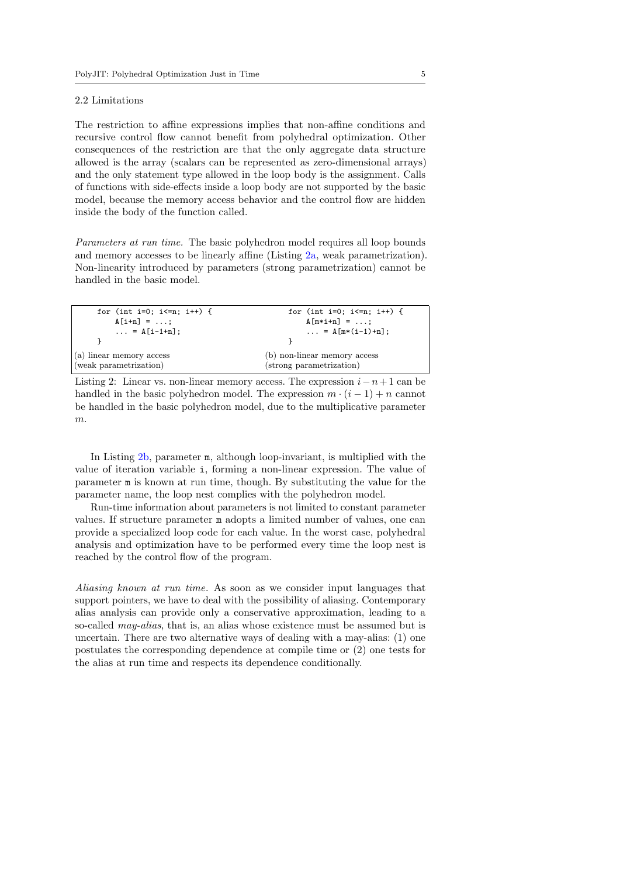## 2.2 Limitations

The restriction to affine expressions implies that non-affine conditions and recursive control flow cannot benefit from polyhedral optimization. Other consequences of the restriction are that the only aggregate data structure allowed is the array (scalars can be represented as zero-dimensional arrays) and the only statement type allowed in the loop body is the assignment. Calls of functions with side-effects inside a loop body are not supported by the basic model, because the memory access behavior and the control flow are hidden inside the body of the function called.

Parameters at run time. The basic polyhedron model requires all loop bounds and memory accesses to be linearly affine (Listing [2a,](#page-4-0) weak parametrization). Non-linearity introduced by parameters (strong parametrization) cannot be handled in the basic model.

| for (int i=0; i<=n; i++) {                         | for (int i=0; i<=n; i++) {                               |
|----------------------------------------------------|----------------------------------------------------------|
| $A[i+n] = \ldots;$                                 | $A[m*1+n] = ;$                                           |
| $\ldots$ = A[i-1+n];                               | $\ldots$ = A[m*(i-1)+n];                                 |
|                                                    |                                                          |
| (a) linear memory access<br>(weak parametrization) | (b) non-linear memory access<br>(strong parametrization) |
|                                                    |                                                          |

<span id="page-4-1"></span><span id="page-4-0"></span>Listing 2: Linear vs. non-linear memory access. The expression  $i - n + 1$  can be handled in the basic polyhedron model. The expression  $m \cdot (i-1) + n$  cannot be handled in the basic polyhedron model, due to the multiplicative parameter m.

In Listing [2b,](#page-4-1) parameter m, although loop-invariant, is multiplied with the value of iteration variable i, forming a non-linear expression. The value of parameter m is known at run time, though. By substituting the value for the parameter name, the loop nest complies with the polyhedron model.

Run-time information about parameters is not limited to constant parameter values. If structure parameter m adopts a limited number of values, one can provide a specialized loop code for each value. In the worst case, polyhedral analysis and optimization have to be performed every time the loop nest is reached by the control flow of the program.

Aliasing known at run time. As soon as we consider input languages that support pointers, we have to deal with the possibility of aliasing. Contemporary alias analysis can provide only a conservative approximation, leading to a so-called *may-alias*, that is, an alias whose existence must be assumed but is uncertain. There are two alternative ways of dealing with a may-alias: (1) one postulates the corresponding dependence at compile time or (2) one tests for the alias at run time and respects its dependence conditionally.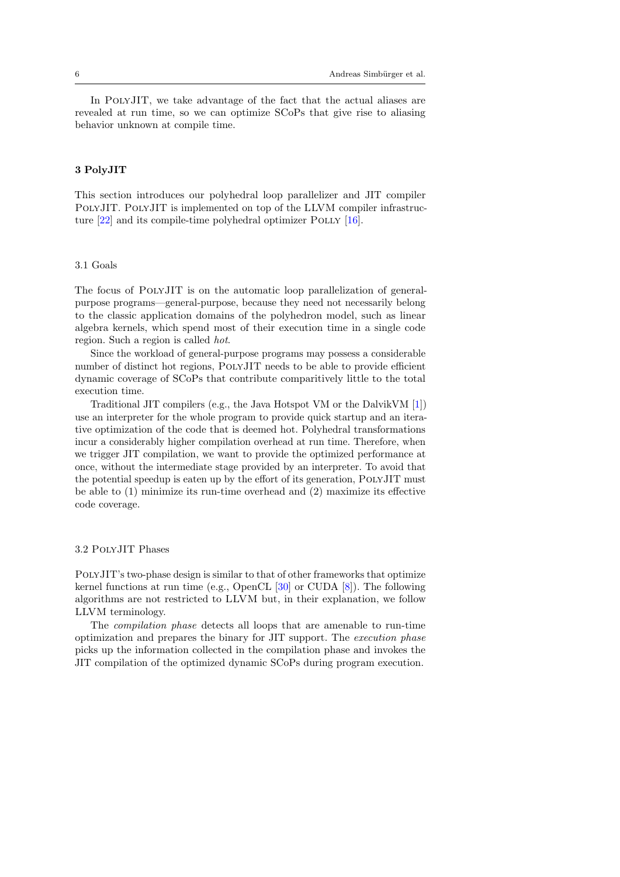In POLYJIT, we take advantage of the fact that the actual aliases are revealed at run time, so we can optimize SCoPs that give rise to aliasing behavior unknown at compile time.

## 3 PolyJIT

This section introduces our polyhedral loop parallelizer and JIT compiler PolyJIT. PolyJIT is implemented on top of the LLVM compiler infrastructure  $[22]$  and its compile-time polyhedral optimizer POLLY  $[16]$ .

#### 3.1 Goals

The focus of PolyJIT is on the automatic loop parallelization of generalpurpose programs—general-purpose, because they need not necessarily belong to the classic application domains of the polyhedron model, such as linear algebra kernels, which spend most of their execution time in a single code region. Such a region is called hot.

Since the workload of general-purpose programs may possess a considerable number of distinct hot regions, PolyJIT needs to be able to provide efficient dynamic coverage of SCoPs that contribute comparitively little to the total execution time.

Traditional JIT compilers (e.g., the Java Hotspot VM or the DalvikVM [\[1\]](#page-28-7)) use an interpreter for the whole program to provide quick startup and an iterative optimization of the code that is deemed hot. Polyhedral transformations incur a considerably higher compilation overhead at run time. Therefore, when we trigger JIT compilation, we want to provide the optimized performance at once, without the intermediate stage provided by an interpreter. To avoid that the potential speedup is eaten up by the effort of its generation, PolyJIT must be able to (1) minimize its run-time overhead and (2) maximize its effective code coverage.

### 3.2 PolyJIT Phases

PolyJIT's two-phase design is similar to that of other frameworks that optimize kernel functions at run time (e.g., OpenCL [\[30\]](#page-29-6) or CUDA [\[8\]](#page-28-8)). The following algorithms are not restricted to LLVM but, in their explanation, we follow LLVM terminology.

The compilation phase detects all loops that are amenable to run-time optimization and prepares the binary for JIT support. The execution phase picks up the information collected in the compilation phase and invokes the JIT compilation of the optimized dynamic SCoPs during program execution.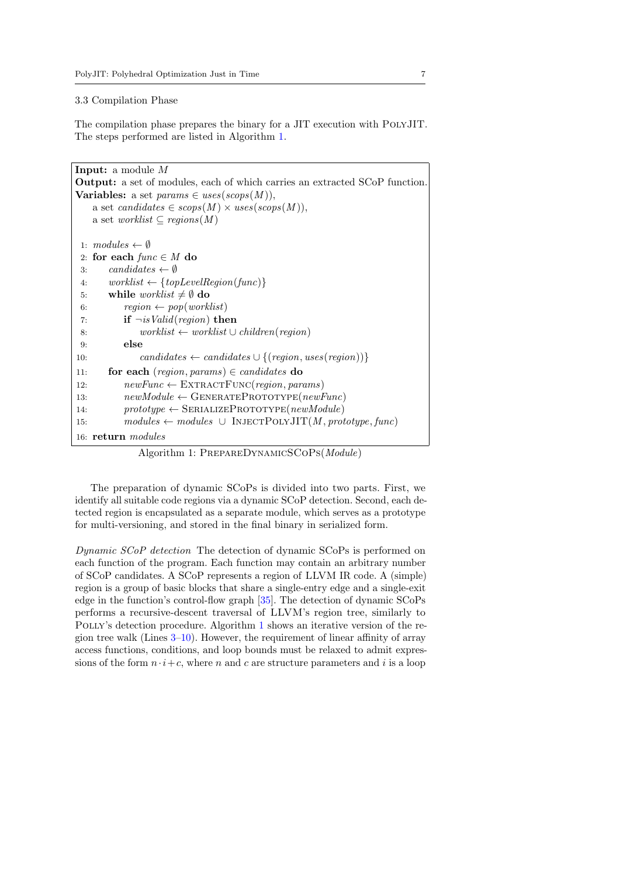### <span id="page-6-1"></span>3.3 Compilation Phase

The compilation phase prepares the binary for a JIT execution with PolyJIT. The steps performed are listed in Algorithm [1.](#page-6-0)

<span id="page-6-0"></span>

| <b>Input:</b> a module $M$                                                           |
|--------------------------------------------------------------------------------------|
| <b>Output:</b> a set of modules, each of which carries an extracted SCoP function.   |
| <b>Variables:</b> a set params $\in$ uses(scops(M)),                                 |
| a set candidates $\in scopy(M) \times uses(scopy(M)),$                               |
| a set <i>worklist</i> $\subseteq$ <i>regions</i> $(M)$                               |
| 1: modules $\leftarrow \emptyset$                                                    |
| 2: for each $func \in M$ do                                                          |
| $candidates \leftarrow \emptyset$<br>3:                                              |
| $worklist \leftarrow \{topLevelRegion(func)\}$<br>4:                                 |
| while <i>worklist</i> $\neq \emptyset$ do<br>5:                                      |
| $region \leftarrow pop(wordklist)$<br>6:                                             |
| if $\neg$ <i>is Valid</i> ( <i>region</i> ) then<br>7:                               |
| $worklist \leftarrow worklist \cup children (region)$<br>8:                          |
| else<br>9.                                                                           |
| $candidates \leftarrow candidates \cup \{(region, uses (region))\}$<br>10:           |
| for each (region, params) $\in$ candidates do<br>11:                                 |
| $newFunc \leftarrow \text{EXTRACTFunc}(region,params)$<br>12:                        |
| $newModule \leftarrow$ GENERATEPROTOTYPE( $newFunc$ )<br>13:                         |
| $\textit{prototype} \leftarrow \text{SERIALIZEPROTOTYPE}(\textit{newModule})$<br>14: |
| $modules \leftarrow modules \cup INJECTPOLYJIT(M, prototype, func)$<br>15:           |
| 16: return modules                                                                   |

Algorithm 1: PrepareDynamicSCoPs(Module)

The preparation of dynamic SCoPs is divided into two parts. First, we identify all suitable code regions via a dynamic SCoP detection. Second, each detected region is encapsulated as a separate module, which serves as a prototype for multi-versioning, and stored in the final binary in serialized form.

Dynamic SCoP detection The detection of dynamic SCoPs is performed on each function of the program. Each function may contain an arbitrary number of SCoP candidates. A SCoP represents a region of LLVM IR code. A (simple) region is a group of basic blocks that share a single-entry edge and a single-exit edge in the function's control-flow graph [\[35\]](#page-29-7). The detection of dynamic SCoPs performs a recursive-descent traversal of LLVM's region tree, similarly to Polly's detection procedure. Algorithm [1](#page-6-0) shows an iterative version of the region tree walk (Lines [3–10\)](#page-6-1). However, the requirement of linear affinity of array access functions, conditions, and loop bounds must be relaxed to admit expressions of the form  $n \cdot i + c$ , where n and c are structure parameters and i is a loop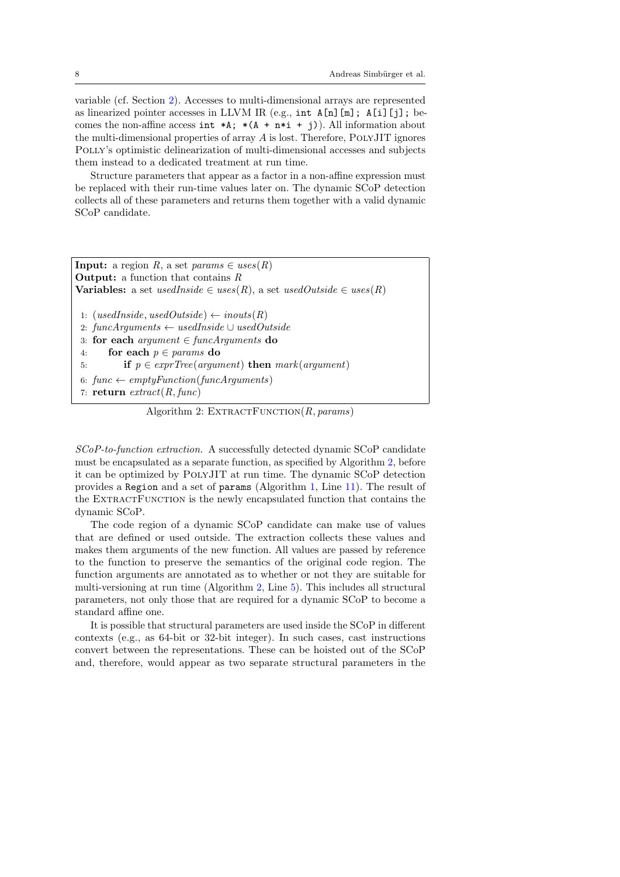variable (cf. Section [2\)](#page-2-0). Accesses to multi-dimensional arrays are represented as linearized pointer accesses in LLVM IR (e.g.,  $int A[n][m]$ ;  $A[i][j]$ ; becomes the non-affine access int  $*A$ ;  $*(A + n * i + i)$ ). All information about the multi-dimensional properties of array A is lost. Therefore, PolyJIT ignores Polly's optimistic delinearization of multi-dimensional accesses and subjects them instead to a dedicated treatment at run time.

Structure parameters that appear as a factor in a non-affine expression must be replaced with their run-time values later on. The dynamic SCoP detection collects all of these parameters and returns them together with a valid dynamic SCoP candidate.

```
Input: a region R, a set params \in uses (R)Output: a function that contains RVariables: a set usedInside ∈ uses(R), a set usedOutside ∈ uses(R)
 1: (usedInside, usedOutside) \leftarrow inouts(R)2: funcArguments ← usedInside ∪ usedOutside
 3: for each argument \in funcArguments do
 4: for each p \in \text{params} do
 5: if p \in exprTree(argument) then mark(argument)6: func \leftarrow emptyFunction(funcArguments)7: return extract(R, func)
```
## Algorithm 2: EXTRACTFUNCTION $(R, \text{params})$

<span id="page-7-1"></span>SCoP-to-function extraction. A successfully detected dynamic SCoP candidate must be encapsulated as a separate function, as specified by Algorithm [2,](#page-7-0) before it can be optimized by PolyJIT at run time. The dynamic SCoP detection provides a Region and a set of params (Algorithm [1,](#page-6-0) Line [11\)](#page-6-1). The result of the ExtractFunction is the newly encapsulated function that contains the dynamic SCoP.

The code region of a dynamic SCoP candidate can make use of values that are defined or used outside. The extraction collects these values and makes them arguments of the new function. All values are passed by reference to the function to preserve the semantics of the original code region. The function arguments are annotated as to whether or not they are suitable for multi-versioning at run time (Algorithm [2,](#page-7-0) Line [5\)](#page-7-1). This includes all structural parameters, not only those that are required for a dynamic SCoP to become a standard affine one.

It is possible that structural parameters are used inside the SCoP in different contexts (e.g., as 64-bit or 32-bit integer). In such cases, cast instructions convert between the representations. These can be hoisted out of the SCoP and, therefore, would appear as two separate structural parameters in the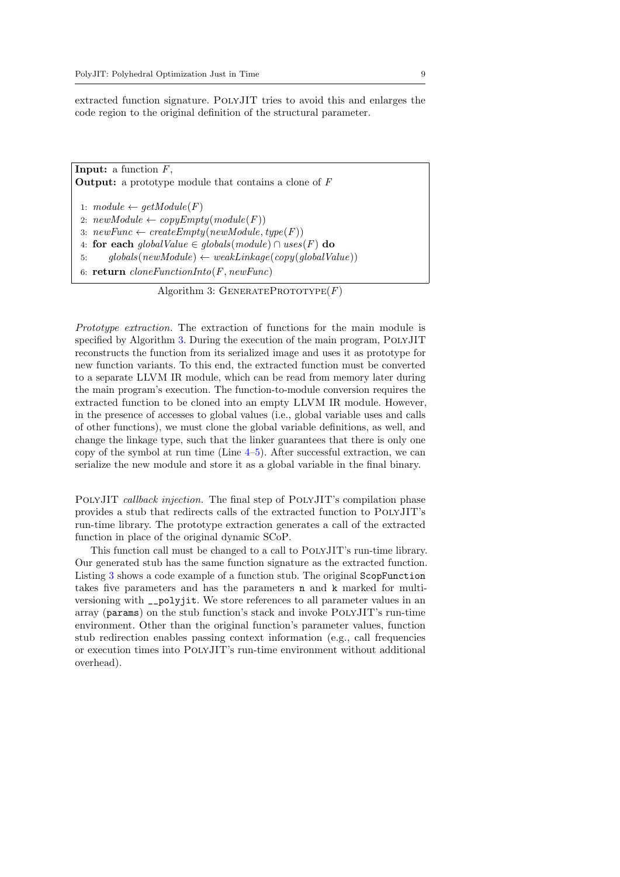extracted function signature. PolyJIT tries to avoid this and enlarges the code region to the original definition of the structural parameter.

<span id="page-8-0"></span>**Input:** a function  $F$ , **Output:** a prototype module that contains a clone of  $F$ 1:  $module \leftarrow getModule(F)$ 2:  $newModule \leftarrow copyEmpty(modelle(F))$ 3:  $newFunc \leftarrow createEmpty(newModule, type(F))$ 4: for each globalValue  $\in$  globals(module)  $\cap$  uses(F) do 5: globals(newModule) ← weakLinkage(copy(globalValue)) 6: return  $cloneFunctionInto(F, newFunc)$ 

Algorithm 3: GENERATEPROTOTYPE $(F)$ 

<span id="page-8-1"></span>Prototype extraction. The extraction of functions for the main module is specified by Algorithm [3.](#page-8-0) During the execution of the main program, POLYJIT reconstructs the function from its serialized image and uses it as prototype for new function variants. To this end, the extracted function must be converted to a separate LLVM IR module, which can be read from memory later during the main program's execution. The function-to-module conversion requires the extracted function to be cloned into an empty LLVM IR module. However, in the presence of accesses to global values (i.e., global variable uses and calls of other functions), we must clone the global variable definitions, as well, and change the linkage type, such that the linker guarantees that there is only one copy of the symbol at run time (Line  $4-5$ ). After successful extraction, we can serialize the new module and store it as a global variable in the final binary.

PolyJIT callback injection. The final step of PolyJIT's compilation phase provides a stub that redirects calls of the extracted function to PolyJIT's run-time library. The prototype extraction generates a call of the extracted function in place of the original dynamic SCoP.

This function call must be changed to a call to PolyJIT's run-time library. Our generated stub has the same function signature as the extracted function. Listing [3](#page-9-0) shows a code example of a function stub. The original ScopFunction takes five parameters and has the parameters n and k marked for multiversioning with \_\_polyjit. We store references to all parameter values in an array (params) on the stub function's stack and invoke PolyJIT's run-time environment. Other than the original function's parameter values, function stub redirection enables passing context information (e.g., call frequencies or execution times into PolyJIT's run-time environment without additional overhead).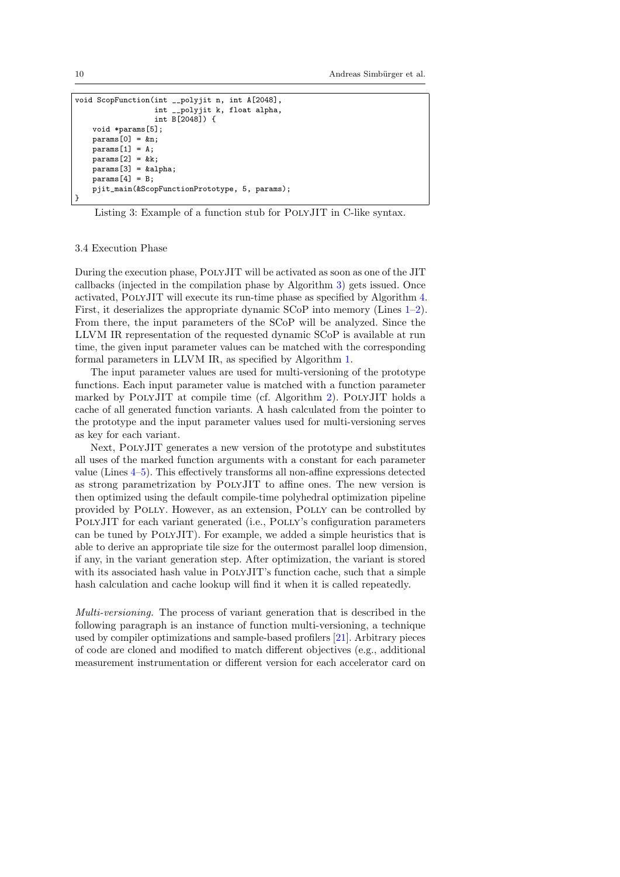```
void ScopFunction(int __polyjit n, int A[2048],
                  int __polyjit k, float alpha,
                  int B[2048]) {
   void *params[5];
   params[0] = kn;params[1] = A;params[2] = kk;parans[3] = kalpha;params[4] = B:
   pjit_main(&ScopFunctionPrototype, 5, params);
}
```
Listing 3: Example of a function stub for PolyJIT in C-like syntax.

#### <span id="page-9-1"></span>3.4 Execution Phase

During the execution phase, PolyJIT will be activated as soon as one of the JIT callbacks (injected in the compilation phase by Algorithm [3\)](#page-9-0) gets issued. Once activated, PolyJIT will execute its run-time phase as specified by Algorithm [4.](#page-10-0) First, it descrializes the appropriate dynamic SCoP into memory (Lines  $1-2$ ). From there, the input parameters of the SCoP will be analyzed. Since the LLVM IR representation of the requested dynamic SCoP is available at run time, the given input parameter values can be matched with the corresponding formal parameters in LLVM IR, as specified by Algorithm [1.](#page-10-1)

The input parameter values are used for multi-versioning of the prototype functions. Each input parameter value is matched with a function parameter marked by PolyJIT at compile time (cf. Algorithm [2\)](#page-7-0). PolyJIT holds a cache of all generated function variants. A hash calculated from the pointer to the prototype and the input parameter values used for multi-versioning serves as key for each variant.

Next, PolyJIT generates a new version of the prototype and substitutes all uses of the marked function arguments with a constant for each parameter value (Lines [4–5\)](#page-9-1). This effectively transforms all non-affine expressions detected as strong parametrization by PolyJIT to affine ones. The new version is then optimized using the default compile-time polyhedral optimization pipeline provided by Polly. However, as an extension, Polly can be controlled by PolyJIT for each variant generated (i.e., Polly's configuration parameters can be tuned by PolyJIT). For example, we added a simple heuristics that is able to derive an appropriate tile size for the outermost parallel loop dimension, if any, in the variant generation step. After optimization, the variant is stored with its associated hash value in POLYJIT's function cache, such that a simple hash calculation and cache lookup will find it when it is called repeatedly.

Multi-versioning. The process of variant generation that is described in the following paragraph is an instance of function multi-versioning, a technique used by compiler optimizations and sample-based profilers [\[21\]](#page-29-8). Arbitrary pieces of code are cloned and modified to match different objectives (e.g., additional measurement instrumentation or different version for each accelerator card on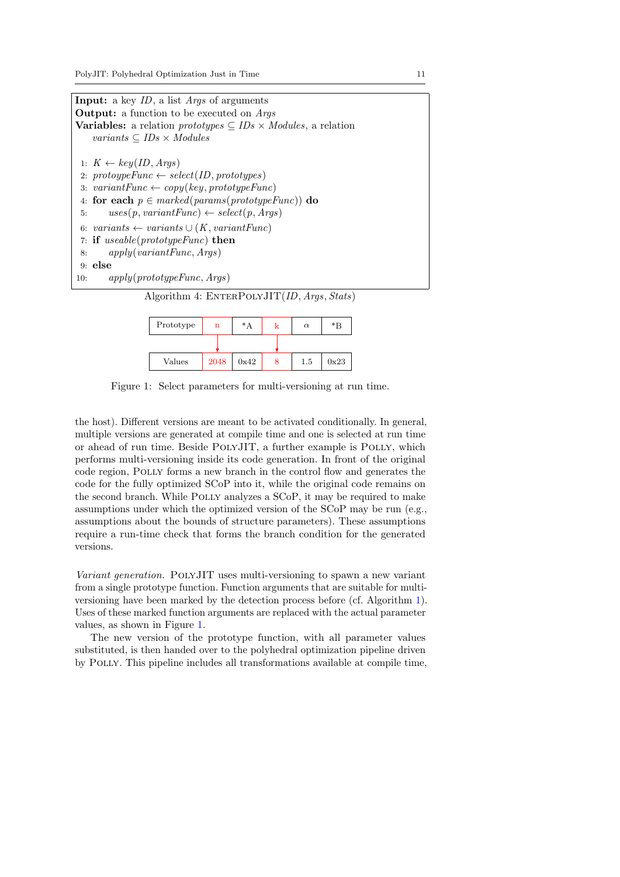<span id="page-10-0"></span>

<span id="page-10-1"></span>Figure 1: Select parameters for multi-versioning at run time.

Values 2048 0x42 8 1.5 0x23

the host). Different versions are meant to be activated conditionally. In general, multiple versions are generated at compile time and one is selected at run time or ahead of run time. Beside PolyJIT, a further example is Polly, which performs multi-versioning inside its code generation. In front of the original code region, Polly forms a new branch in the control flow and generates the code for the fully optimized SCoP into it, while the original code remains on the second branch. While Polly analyzes a SCoP, it may be required to make assumptions under which the optimized version of the SCoP may be run (e.g., assumptions about the bounds of structure parameters). These assumptions require a run-time check that forms the branch condition for the generated versions.

Variant generation. PolyJIT uses multi-versioning to spawn a new variant from a single prototype function. Function arguments that are suitable for multiversioning have been marked by the detection process before (cf. Algorithm [1\)](#page-6-0). Uses of these marked function arguments are replaced with the actual parameter values, as shown in Figure [1.](#page-10-1)

The new version of the prototype function, with all parameter values substituted, is then handed over to the polyhedral optimization pipeline driven by Polly. This pipeline includes all transformations available at compile time,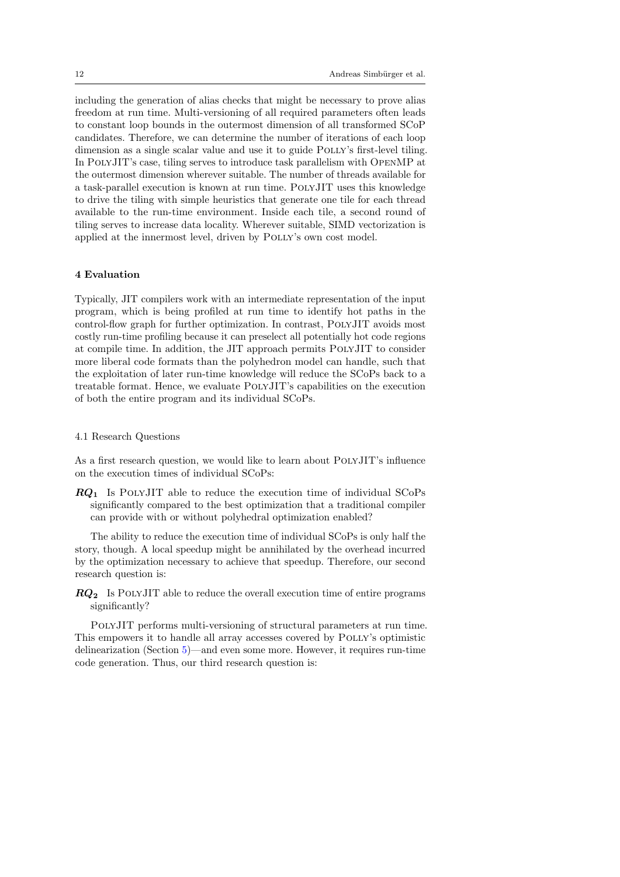including the generation of alias checks that might be necessary to prove alias freedom at run time. Multi-versioning of all required parameters often leads to constant loop bounds in the outermost dimension of all transformed SCoP candidates. Therefore, we can determine the number of iterations of each loop dimension as a single scalar value and use it to guide POLLY's first-level tiling. In PolyJIT's case, tiling serves to introduce task parallelism with OpenMP at the outermost dimension wherever suitable. The number of threads available for a task-parallel execution is known at run time. PolyJIT uses this knowledge to drive the tiling with simple heuristics that generate one tile for each thread available to the run-time environment. Inside each tile, a second round of tiling serves to increase data locality. Wherever suitable, SIMD vectorization is applied at the innermost level, driven by POLLY's own cost model.

## 4 Evaluation

Typically, JIT compilers work with an intermediate representation of the input program, which is being profiled at run time to identify hot paths in the control-flow graph for further optimization. In contrast, PolyJIT avoids most costly run-time profiling because it can preselect all potentially hot code regions at compile time. In addition, the JIT approach permits PolyJIT to consider more liberal code formats than the polyhedron model can handle, such that the exploitation of later run-time knowledge will reduce the SCoPs back to a treatable format. Hence, we evaluate PolyJIT's capabilities on the execution of both the entire program and its individual SCoPs.

#### <span id="page-11-0"></span>4.1 Research Questions

As a first research question, we would like to learn about POLYJIT's influence on the execution times of individual SCoPs:

 $RQ_1$  Is POLYJIT able to reduce the execution time of individual SCoPs significantly compared to the best optimization that a traditional compiler can provide with or without polyhedral optimization enabled?

The ability to reduce the execution time of individual SCoPs is only half the story, though. A local speedup might be annihilated by the overhead incurred by the optimization necessary to achieve that speedup. Therefore, our second research question is:

 $RQ_2$  Is POLYJIT able to reduce the overall execution time of entire programs significantly?

PolyJIT performs multi-versioning of structural parameters at run time. This empowers it to handle all array accesses covered by Polly's optimistic delinearization (Section [5\)](#page-26-0)—and even some more. However, it requires run-time code generation. Thus, our third research question is: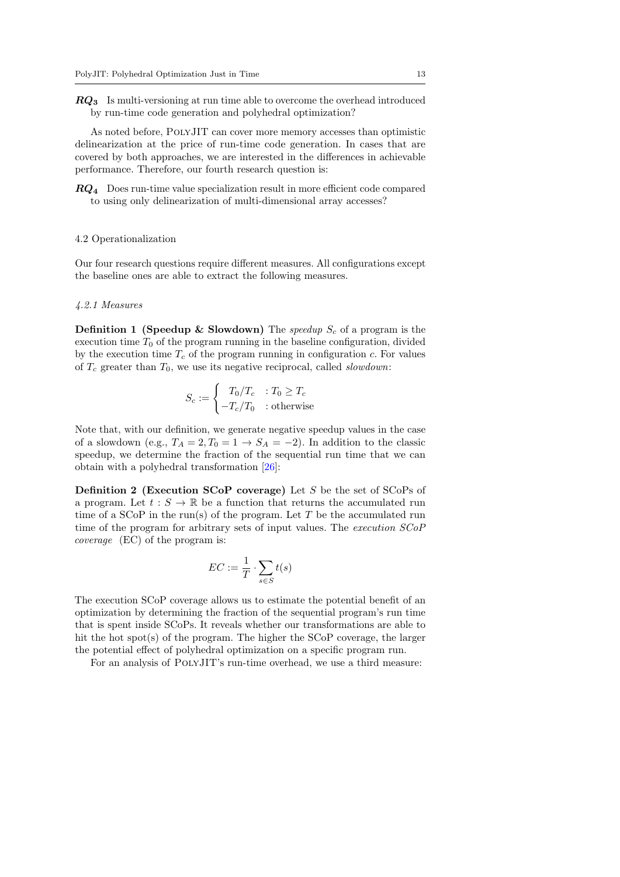RQ<sup>3</sup> Is multi-versioning at run time able to overcome the overhead introduced by run-time code generation and polyhedral optimization?

As noted before, PolyJIT can cover more memory accesses than optimistic delinearization at the price of run-time code generation. In cases that are covered by both approaches, we are interested in the differences in achievable performance. Therefore, our fourth research question is:

 $RQ_4$  Does run-time value specialization result in more efficient code compared to using only delinearization of multi-dimensional array accesses?

### <span id="page-12-0"></span>4.2 Operationalization

Our four research questions require different measures. All configurations except the baseline ones are able to extract the following measures.

#### 4.2.1 Measures

**Definition 1** (Speedup & Slowdown) The speedup  $S_c$  of a program is the execution time  $T_0$  of the program running in the baseline configuration, divided by the execution time  $T_c$  of the program running in configuration  $c$ . For values of  $T_c$  greater than  $T_0$ , we use its negative reciprocal, called *slowdown*:

$$
S_c := \begin{cases} T_0/T_c & \text{: } T_0 \ge T_c \\ -T_c/T_0 & \text{: otherwise} \end{cases}
$$

Note that, with our definition, we generate negative speedup values in the case of a slowdown (e.g.,  $T_A = 2, T_0 = 1 \rightarrow S_A = -2$ ). In addition to the classic speedup, we determine the fraction of the sequential run time that we can obtain with a polyhedral transformation [\[26\]](#page-29-3):

Definition 2 (Execution SCoP coverage) Let S be the set of SCoPs of a program. Let  $t : S \to \mathbb{R}$  be a function that returns the accumulated run time of a SCoP in the run(s) of the program. Let  $T$  be the accumulated run time of the program for arbitrary sets of input values. The execution  $SCoP$ coverage (EC) of the program is:

$$
EC := \frac{1}{T} \cdot \sum_{s \in S} t(s)
$$

The execution SCoP coverage allows us to estimate the potential benefit of an optimization by determining the fraction of the sequential program's run time that is spent inside SCoPs. It reveals whether our transformations are able to hit the hot spot(s) of the program. The higher the SCoP coverage, the larger the potential effect of polyhedral optimization on a specific program run.

For an analysis of PolyJIT's run-time overhead, we use a third measure: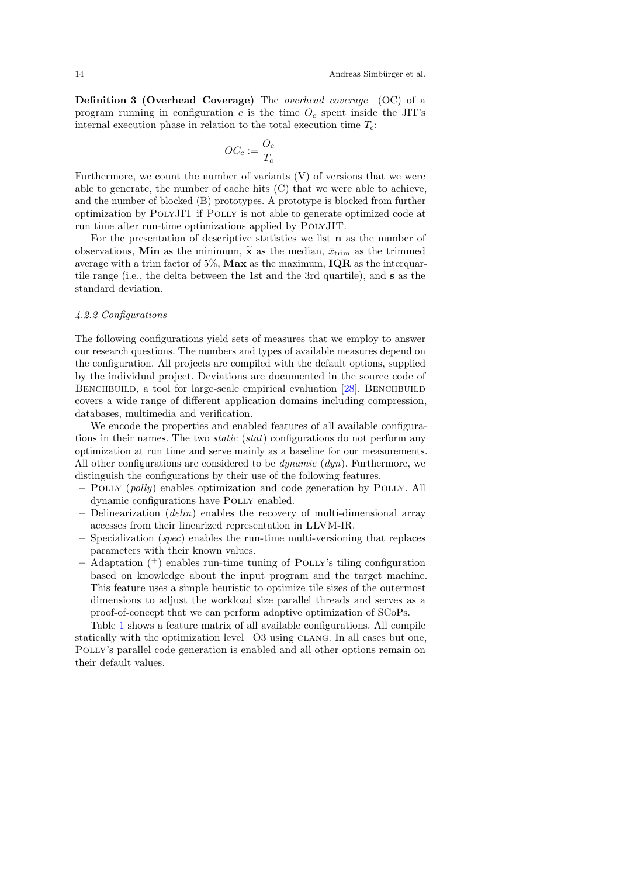Definition 3 (Overhead Coverage) The overhead coverage (OC) of a program running in configuration c is the time  $O<sub>c</sub>$  spent inside the JIT's internal execution phase in relation to the total execution time  $T_c$ :

$$
OC_c := \frac{O_c}{T_c}
$$

Furthermore, we count the number of variants  $(V)$  of versions that we were able to generate, the number of cache hits  $(C)$  that we were able to achieve, and the number of blocked (B) prototypes. A prototype is blocked from further optimization by PolyJIT if Polly is not able to generate optimized code at run time after run-time optimizations applied by PolyJIT.

For the presentation of descriptive statistics we list n as the number of observations, Min as the minimum,  $\tilde{\mathbf{x}}$  as the median,  $\bar{x}_{\text{trim}}$  as the trimmed average with a trim factor of 5%, Max as the maximum,  $IQR$  as the interquartile range (i.e., the delta between the 1st and the 3rd quartile), and s as the standard deviation.

#### 4.2.2 Configurations

The following configurations yield sets of measures that we employ to answer our research questions. The numbers and types of available measures depend on the configuration. All projects are compiled with the default options, supplied by the individual project. Deviations are documented in the source code of BENCHBUILD, a tool for large-scale empirical evaluation [\[28\]](#page-29-9). BENCHBUILD covers a wide range of different application domains including compression, databases, multimedia and verification.

We encode the properties and enabled features of all available configurations in their names. The two *static* (*stat*) configurations do not perform any optimization at run time and serve mainly as a baseline for our measurements. All other configurations are considered to be  $dynamic (dyn)$ . Furthermore, we distinguish the configurations by their use of the following features.

- POLLY (*polly*) enables optimization and code generation by POLLY. All dynamic configurations have POLLY enabled.
- Delinearization (delin) enables the recovery of multi-dimensional array accesses from their linearized representation in LLVM-IR.
- Specialization (spec) enables the run-time multi-versioning that replaces parameters with their known values.
- $-$  Adaptation  $(+)$  enables run-time tuning of POLLY's tiling configuration based on knowledge about the input program and the target machine. This feature uses a simple heuristic to optimize tile sizes of the outermost dimensions to adjust the workload size parallel threads and serves as a proof-of-concept that we can perform adaptive optimization of SCoPs.

Table [1](#page-14-0) shows a feature matrix of all available configurations. All compile statically with the optimization level –O3 using clang. In all cases but one, Polly's parallel code generation is enabled and all other options remain on their default values.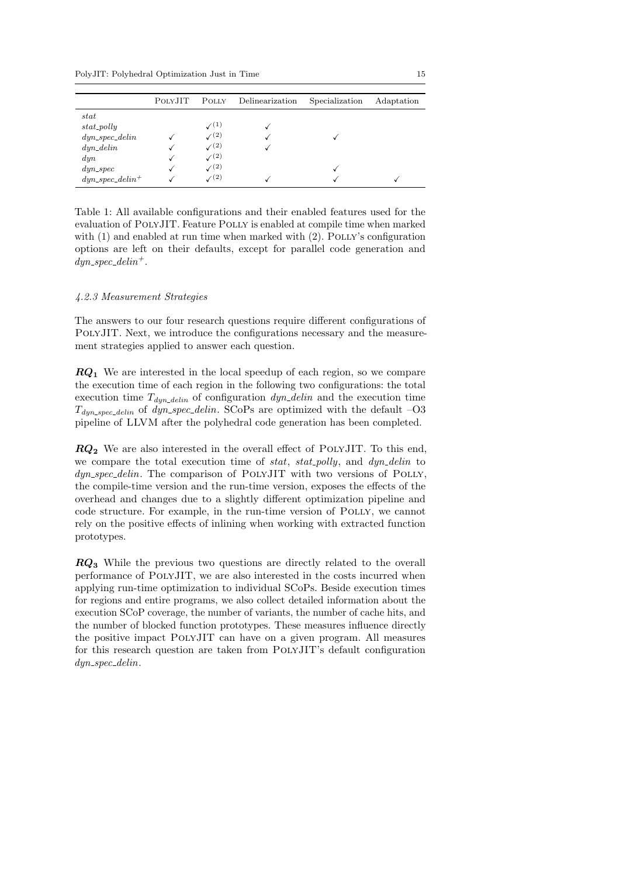<span id="page-14-0"></span>

|                      | POLYJIT | <b>POLLY</b>        | Delinearization | Specialization | Adaptation |
|----------------------|---------|---------------------|-----------------|----------------|------------|
| stat                 |         |                     |                 |                |            |
| $stat\_poly$         |         | $\mathcal{N}^{(1)}$ |                 |                |            |
| $dyn\_spec\_delin$   |         | $\mathcal{N}^{(2)}$ |                 |                |            |
| $dyn\_{delin}$       |         | $\mathcal{N}^{(2)}$ |                 |                |            |
| $\frac{dyn}{}$       |         | $\mathcal{L}^{(2)}$ |                 |                |            |
| $dyn\_spec$          |         | $\mathcal{L}^{(2)}$ |                 |                |            |
| $dyn\_spec\_delin^+$ |         | (2)                 |                 |                |            |

Table 1: All available configurations and their enabled features used for the evaluation of PolyJIT. Feature Polly is enabled at compile time when marked with  $(1)$  and enabled at run time when marked with  $(2)$ . POLLY's configuration options are left on their defaults, except for parallel code generation and  $dyn\_spec\_delin^+$ .

#### 4.2.3 Measurement Strategies

The answers to our four research questions require different configurations of PolyJIT. Next, we introduce the configurations necessary and the measurement strategies applied to answer each question.

 $RQ_1$  We are interested in the local speedup of each region, so we compare the execution time of each region in the following two configurations: the total execution time  $T_{dyn\_{delin}}$  of configuration dyn-delin and the execution time  $T_{dyn\text{-}spec\text{-}delin}$  of  $\frac{dyn\text{-}spec\text{-}delin}$ . SCoPs are optimized with the default -O3 pipeline of LLVM after the polyhedral code generation has been completed.

 $RQ<sub>2</sub>$  We are also interested in the overall effect of POLYJIT. To this end, we compare the total execution time of  $stat$ ,  $stat$ -polly, and  $dyn$ -delin to  $dyn\_spec\_delin$ . The comparison of POLYJIT with two versions of POLLY, the compile-time version and the run-time version, exposes the effects of the overhead and changes due to a slightly different optimization pipeline and code structure. For example, in the run-time version of Polly, we cannot rely on the positive effects of inlining when working with extracted function prototypes.

RQ<sup>3</sup> While the previous two questions are directly related to the overall performance of PolyJIT, we are also interested in the costs incurred when applying run-time optimization to individual SCoPs. Beside execution times for regions and entire programs, we also collect detailed information about the execution SCoP coverage, the number of variants, the number of cache hits, and the number of blocked function prototypes. These measures influence directly the positive impact PolyJIT can have on a given program. All measures for this research question are taken from PolyJIT's default configuration  $dyn\_spec\_delin$ .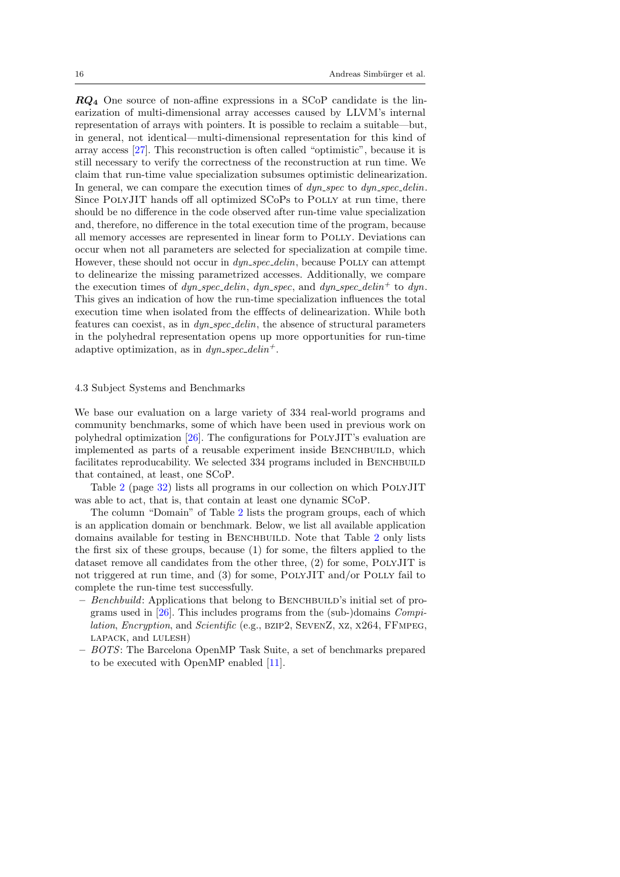RQ<sup>4</sup> One source of non-affine expressions in a SCoP candidate is the linearization of multi-dimensional array accesses caused by LLVM's internal representation of arrays with pointers. It is possible to reclaim a suitable—but, in general, not identical—multi-dimensional representation for this kind of array access [\[27\]](#page-29-10). This reconstruction is often called "optimistic", because it is still necessary to verify the correctness of the reconstruction at run time. We claim that run-time value specialization subsumes optimistic delinearization. In general, we can compare the execution times of  $dyn\_spec$  to  $dyn\_spec\_delin$ . Since PolyJIT hands off all optimized SCoPs to Polly at run time, there should be no difference in the code observed after run-time value specialization and, therefore, no difference in the total execution time of the program, because all memory accesses are represented in linear form to Polly. Deviations can occur when not all parameters are selected for specialization at compile time. However, these should not occur in  $dyn\_spec\_delin$ , because POLLY can attempt to delinearize the missing parametrized accesses. Additionally, we compare the execution times of dyn-spec-delin, dyn-spec, and dyn-spec-delin<sup>+</sup> to dyn. This gives an indication of how the run-time specialization influences the total execution time when isolated from the efffects of delinearization. While both features can coexist, as in  $\frac{dyn\_spec\_delin}{}$ , the absence of structural parameters in the polyhedral representation opens up more opportunities for run-time adaptive optimization, as in  $dyn\_spec\_delin^+$ .

#### 4.3 Subject Systems and Benchmarks

We base our evaluation on a large variety of 334 real-world programs and community benchmarks, some of which have been used in previous work on polyhedral optimization [\[26\]](#page-29-3). The configurations for PolyJIT's evaluation are implemented as parts of a reusable experiment inside BENCHBUILD, which facilitates reproducability. We selected 334 programs included in BENCHBUILD that contained, at least, one SCoP.

Table [2](#page-31-0) (page [32\)](#page-31-0) lists all programs in our collection on which PolyJIT was able to act, that is, that contain at least one dynamic SCoP.

The column "Domain" of Table [2](#page-31-0) lists the program groups, each of which is an application domain or benchmark. Below, we list all available application domains available for testing in BENCHBUILD. Note that Table [2](#page-31-0) only lists the first six of these groups, because (1) for some, the filters applied to the dataset remove all candidates from the other three, (2) for some, POLYJIT is not triggered at run time, and (3) for some, POLYJIT and/or POLLY fail to complete the run-time test successfully.

- Benchbuild: Applications that belong to Benchbuild's initial set of programs used in  $[26]$ . This includes programs from the (sub-)domains *Compi*lation, Encryption, and Scientific (e.g., BZIP2, SEVENZ, XZ, X264, FFMPEG, lapack, and lulesh)
- BOTS: The Barcelona OpenMP Task Suite, a set of benchmarks prepared to be executed with OpenMP enabled [\[11\]](#page-28-9).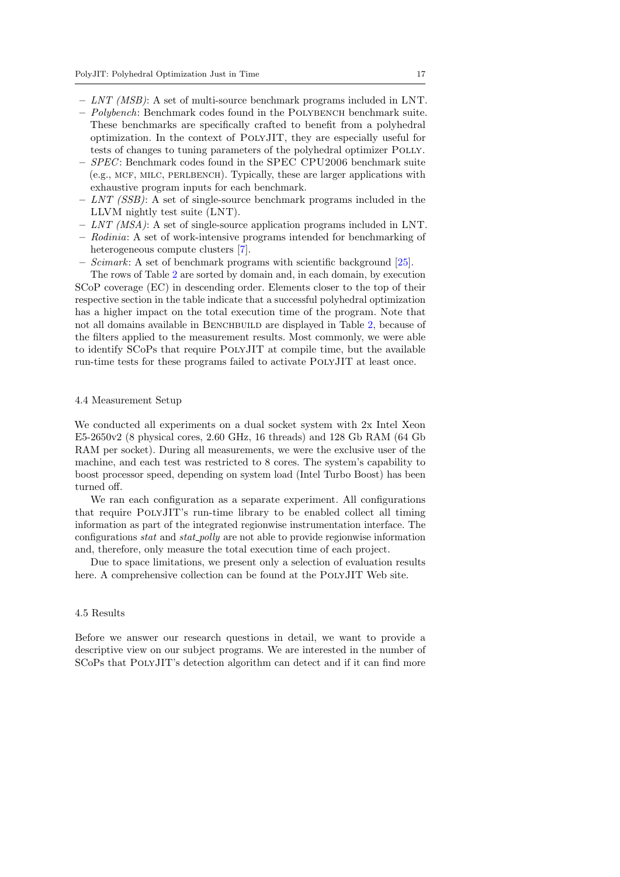- LNT (MSB): A set of multi-source benchmark programs included in LNT.
- $Polybench: \text{Benchmark codes found in the POLYBENCH benchmark suite.}$ These benchmarks are specifically crafted to benefit from a polyhedral optimization. In the context of PolyJIT, they are especially useful for tests of changes to tuning parameters of the polyhedral optimizer POLLY.
- $-$  SPEC: Benchmark codes found in the SPEC CPU2006 benchmark suite (e.g., mcf, milc, perlbench). Typically, these are larger applications with exhaustive program inputs for each benchmark.
- $LNT$  (SSB): A set of single-source benchmark programs included in the LLVM nightly test suite (LNT).
- LNT ( $MSA$ ): A set of single-source application programs included in LNT.
- Rodinia: A set of work-intensive programs intended for benchmarking of heterogeneous compute clusters [\[7\]](#page-28-10).
- $-$  *Scimark*: A set of benchmark programs with scientific background [\[25\]](#page-29-11).

The rows of Table [2](#page-31-0) are sorted by domain and, in each domain, by execution SCoP coverage (EC) in descending order. Elements closer to the top of their respective section in the table indicate that a successful polyhedral optimization has a higher impact on the total execution time of the program. Note that not all domains available in BENCHBUILD are displayed in Table [2,](#page-31-0) because of the filters applied to the measurement results. Most commonly, we were able to identify SCoPs that require PolyJIT at compile time, but the available run-time tests for these programs failed to activate PolyJIT at least once.

#### 4.4 Measurement Setup

We conducted all experiments on a dual socket system with 2x Intel Xeon E5-2650v2 (8 physical cores, 2.60 GHz, 16 threads) and 128 Gb RAM (64 Gb RAM per socket). During all measurements, we were the exclusive user of the machine, and each test was restricted to 8 cores. The system's capability to boost processor speed, depending on system load (Intel Turbo Boost) has been turned off.

We ran each configuration as a separate experiment. All configurations that require PolyJIT's run-time library to be enabled collect all timing information as part of the integrated regionwise instrumentation interface. The configurations stat and stat polly are not able to provide regionwise information and, therefore, only measure the total execution time of each project.

Due to space limitations, we present only a selection of evaluation results here. A comprehensive collection can be found at the POLYJIT Web site.

#### 4.5 Results

Before we answer our research questions in detail, we want to provide a descriptive view on our subject programs. We are interested in the number of SCoPs that PolyJIT's detection algorithm can detect and if it can find more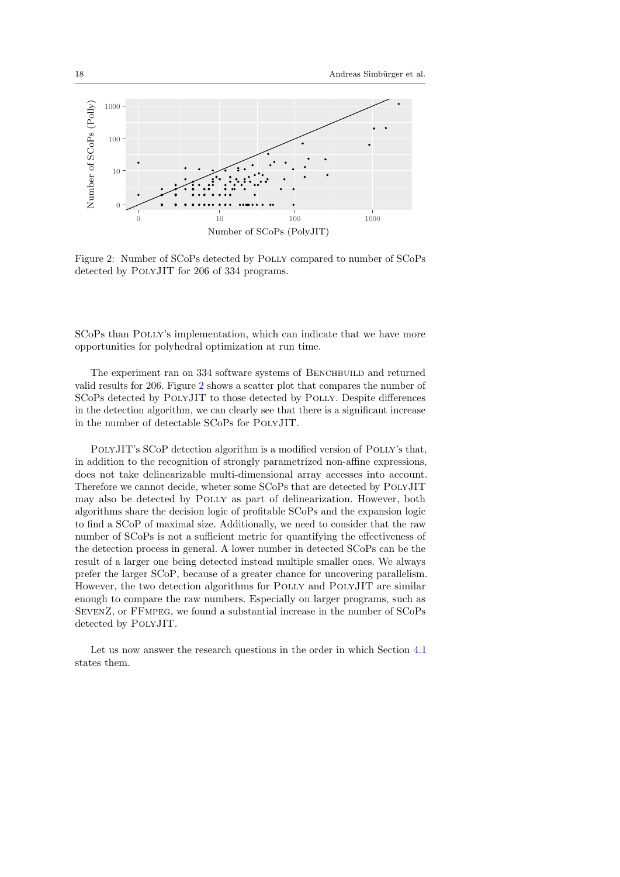<span id="page-17-0"></span>

Figure 2: Number of SCoPs detected by Polly compared to number of SCoPs detected by PolyJIT for 206 of 334 programs.

SCoPs than POLLY's implementation, which can indicate that we have more opportunities for polyhedral optimization at run time.

The experiment ran on 334 software systems of BENCHBUILD and returned valid results for 206. Figure [2](#page-17-0) shows a scatter plot that compares the number of SCoPs detected by PolyJIT to those detected by Polly. Despite differences in the detection algorithm, we can clearly see that there is a significant increase in the number of detectable SCoPs for PolyJIT.

POLYJIT's SCoP detection algorithm is a modified version of POLLY's that, in addition to the recognition of strongly parametrized non-affine expressions, does not take delinearizable multi-dimensional array accesses into account. Therefore we cannot decide, wheter some SCoPs that are detected by PolyJIT may also be detected by Polly as part of delinearization. However, both algorithms share the decision logic of profitable SCoPs and the expansion logic to find a SCoP of maximal size. Additionally, we need to consider that the raw number of SCoPs is not a sufficient metric for quantifying the effectiveness of the detection process in general. A lower number in detected SCoPs can be the result of a larger one being detected instead multiple smaller ones. We always prefer the larger SCoP, because of a greater chance for uncovering parallelism. However, the two detection algorithms for POLLY and POLYJIT are similar enough to compare the raw numbers. Especially on larger programs, such as SevenZ, or FFmpeg, we found a substantial increase in the number of SCoPs detected by PolyJIT.

Let us now answer the research questions in the order in which Section [4.1](#page-11-0) states them.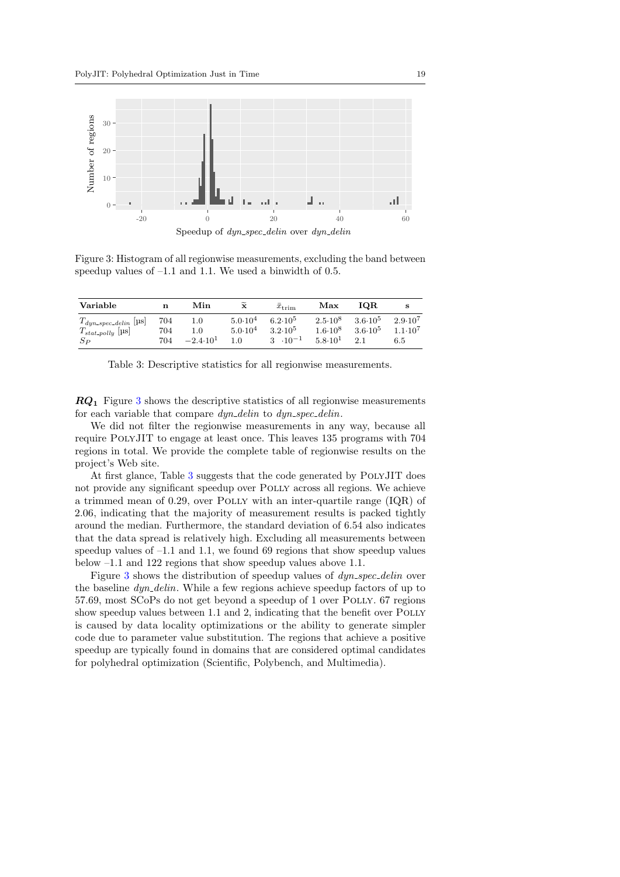<span id="page-18-1"></span>

Figure 3: Histogram of all regionwise measurements, excluding the band between speedup values of  $-1.1$  and 1.1. We used a binwidth of 0.5.

<span id="page-18-0"></span>

| Variable                    |     | Min                 | x                  | $\bar{x}_{\text{trim}}$ | Max                | IOR              |                    |
|-----------------------------|-----|---------------------|--------------------|-------------------------|--------------------|------------------|--------------------|
| $T_{dyn\_spec\_delin}$ [µs] | 704 | $1.0\,$             | $5.0 \cdot 10^{4}$ | $6.2 \cdot 10^5$        | $2.5 \cdot 10^8$   | $3.6 \cdot 10^5$ | $2.9 \cdot 10^7$   |
| $T_{stat\_poly}$ [µs]       | 704 | 1.0                 | $5.0 \cdot 10^{4}$ | $3.2 \cdot 10^5$        | $1.6 \cdot 10^8$   | $3.6 \cdot 10^5$ | $1.1 \cdot 10^{7}$ |
| $S_P$                       | 704 | $-2.4 \cdot 10^{1}$ | 1 በ                | $3 \cdot 10^{-1}$       | $5.8 \cdot 10^{1}$ | 2.1              | 6.5                |

Table 3: Descriptive statistics for all regionwise measurements.

 $RQ<sub>1</sub>$  Figure [3](#page-18-0) shows the descriptive statistics of all regionwise measurements for each variable that compare  $dyn\_delin$  to  $dyn\_spec\_delin$ .

We did not filter the regionwise measurements in any way, because all require PolyJIT to engage at least once. This leaves 135 programs with 704 regions in total. We provide the complete table of regionwise results on the project's Web site.

At first glance, Table [3](#page-18-0) suggests that the code generated by PolyJIT does not provide any significant speedup over Polly across all regions. We achieve a trimmed mean of 0.29, over Polly with an inter-quartile range (IQR) of 2.06, indicating that the majority of measurement results is packed tightly around the median. Furthermore, the standard deviation of 6.54 also indicates that the data spread is relatively high. Excluding all measurements between speedup values of  $-1.1$  and 1.1, we found 69 regions that show speedup values below –1.1 and 122 regions that show speedup values above 1.1.

Figure [3](#page-18-1) shows the distribution of speedup values of  $\text{dyn\_spec\_delin}$  over the baseline *dyn\_delin*. While a few regions achieve speedup factors of up to 57.69, most SCoPs do not get beyond a speedup of 1 over Polly. 67 regions show speedup values between 1.1 and 2, indicating that the benefit over POLLY is caused by data locality optimizations or the ability to generate simpler code due to parameter value substitution. The regions that achieve a positive speedup are typically found in domains that are considered optimal candidates for polyhedral optimization (Scientific, Polybench, and Multimedia).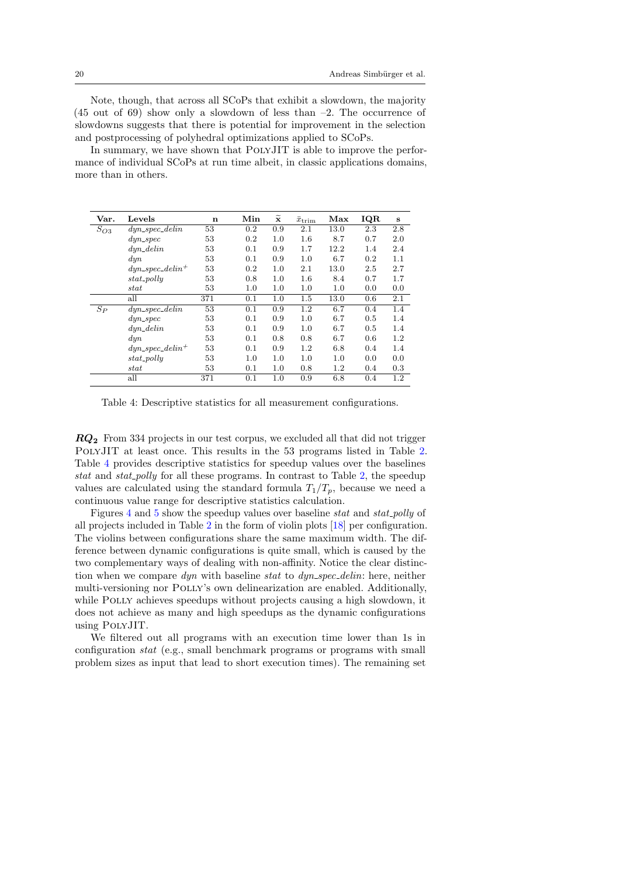Note, though, that across all SCoPs that exhibit a slowdown, the majority (45 out of 69) show only a slowdown of less than –2. The occurrence of slowdowns suggests that there is potential for improvement in the selection and postprocessing of polyhedral optimizations applied to SCoPs.

In summary, we have shown that PolyJIT is able to improve the performance of individual SCoPs at run time albeit, in classic applications domains, more than in others.

<span id="page-19-0"></span>

| Var.     | Levels               | $\mathbf n$ | Min | $\widetilde{\mathbf{x}}$ | $\bar{x}_{\text{trim}}$ | Max     | IQR | s       |
|----------|----------------------|-------------|-----|--------------------------|-------------------------|---------|-----|---------|
| $S_{O3}$ | $dyn\_spec\_delin$   | 53          | 0.2 | 0.9                      | 2.1                     | 13.0    | 2.3 | 2.8     |
|          | $dyn\_spec$          | 53          | 0.2 | 1.0                      | 1.6                     | 8.7     | 0.7 | 2.0     |
|          | $dyn\_delin$         | 53          | 0.1 | 0.9                      | 1.7                     | 12.2    | 1.4 | 2.4     |
|          | $_{dyn}$             | 53          | 0.1 | 0.9                      | 1.0                     | 6.7     | 0.2 | 1.1     |
|          | $dyn\_spec\_delin^+$ | 53          | 0.2 | 1.0                      | 2.1                     | 13.0    | 2.5 | 2.7     |
|          | $stat\_polly$        | 53          | 0.8 | 1.0                      | $1.6\,$                 | 8.4     | 0.7 | $1.7\,$ |
|          | $_{stat}$            | 53          | 1.0 | 1.0                      | 1.0                     | 1.0     | 0.0 | 0.0     |
|          | all                  | 371         | 0.1 | 1.0                      | 1.5                     | 13.0    | 0.6 | 2.1     |
| $S_P$    | $dyn\_spec\_delin$   | 53          | 0.1 | 0.9                      | 1.2                     | 6.7     | 0.4 | 1.4     |
|          | $dyn\_spec$          | 53          | 0.1 | 0.9                      | 1.0                     | 6.7     | 0.5 | 1.4     |
|          | $dyn\_delin$         | 53          | 0.1 | 0.9                      | 1.0                     | 6.7     | 0.5 | 1.4     |
|          | $_{dyn}$             | 53          | 0.1 | 0.8                      | 0.8                     | 6.7     | 0.6 | 1.2     |
|          | $dyn\_spec\_delin^+$ | 53          | 0.1 | 0.9                      | $1.2\,$                 | 6.8     | 0.4 | 1.4     |
|          | $stat\_polly$        | 53          | 1.0 | 1.0                      | 1.0                     | $1.0\,$ | 0.0 | 0.0     |
|          | stat                 | 53          | 0.1 | 1.0                      | 0.8                     | $1.2\,$ | 0.4 | 0.3     |
|          | all                  | 371         | 0.1 | 1.0                      | 0.9                     | 6.8     | 0.4 | 1.2     |

Table 4: Descriptive statistics for all measurement configurations.

RQ<sup>2</sup> From 334 projects in our test corpus, we excluded all that did not trigger PolyJIT at least once. This results in the 53 programs listed in Table [2.](#page-31-0) Table [4](#page-19-0) provides descriptive statistics for speedup values over the baselines stat and stat polly for all these programs. In contrast to Table [2,](#page-31-0) the speedup values are calculated using the standard formula  $T_1/T_p$ , because we need a continuous value range for descriptive statistics calculation.

Figures [4](#page-20-0) and [5](#page-21-0) show the speedup values over baseline *stat* and *stat\_polly* of all projects included in Table [2](#page-31-0) in the form of violin plots [\[18\]](#page-29-12) per configuration. The violins between configurations share the same maximum width. The difference between dynamic configurations is quite small, which is caused by the two complementary ways of dealing with non-affinity. Notice the clear distinction when we compare dyn with baseline stat to  $dyn\_spec\_delin$ : here, neither multi-versioning nor Polly's own delinearization are enabled. Additionally, while POLLY achieves speedups without projects causing a high slowdown, it does not achieve as many and high speedups as the dynamic configurations using PolyJIT.

We filtered out all programs with an execution time lower than 1s in configuration stat (e.g., small benchmark programs or programs with small problem sizes as input that lead to short execution times). The remaining set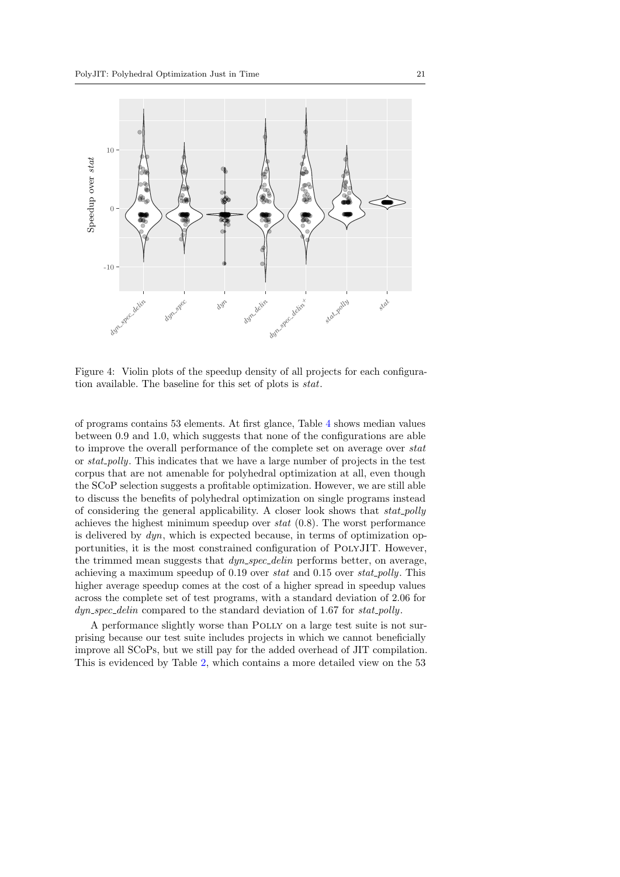<span id="page-20-0"></span>

Figure 4: Violin plots of the speedup density of all projects for each configuration available. The baseline for this set of plots is stat.

of programs contains 53 elements. At first glance, Table [4](#page-19-0) shows median values between 0.9 and 1.0, which suggests that none of the configurations are able to improve the overall performance of the complete set on average over stat or stat-polly. This indicates that we have a large number of projects in the test corpus that are not amenable for polyhedral optimization at all, even though the SCoP selection suggests a profitable optimization. However, we are still able to discuss the benefits of polyhedral optimization on single programs instead of considering the general applicability. A closer look shows that  $stat\_polly$ achieves the highest minimum speedup over  $stat(0.8)$ . The worst performance is delivered by  $dyn$ , which is expected because, in terms of optimization opportunities, it is the most constrained configuration of PolyJIT. However, the trimmed mean suggests that  $dyn\_spec\_delin$  performs better, on average, achieving a maximum speedup of 0.19 over stat and 0.15 over stat\_polly. This higher average speedup comes at the cost of a higher spread in speedup values across the complete set of test programs, with a standard deviation of 2.06 for  $dyn\_spec\_delin$  compared to the standard deviation of 1.67 for stat\_polly.

A performance slightly worse than Polly on a large test suite is not surprising because our test suite includes projects in which we cannot beneficially improve all SCoPs, but we still pay for the added overhead of JIT compilation. This is evidenced by Table [2,](#page-31-0) which contains a more detailed view on the 53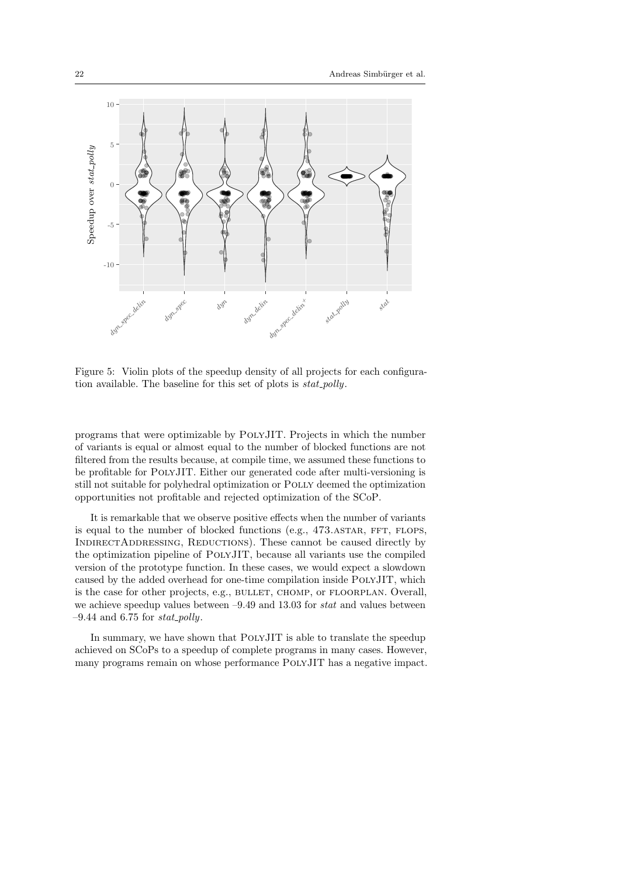<span id="page-21-0"></span>

Figure 5: Violin plots of the speedup density of all projects for each configuration available. The baseline for this set of plots is *stat\_polly*.

programs that were optimizable by PolyJIT. Projects in which the number of variants is equal or almost equal to the number of blocked functions are not filtered from the results because, at compile time, we assumed these functions to be profitable for PolyJIT. Either our generated code after multi-versioning is still not suitable for polyhedral optimization or Polly deemed the optimization opportunities not profitable and rejected optimization of the SCoP.

It is remarkable that we observe positive effects when the number of variants is equal to the number of blocked functions (e.g.,  $473.$ ASTAR, FFT, FLOPS, INDIRECTADDRESSING, REDUCTIONS). These cannot be caused directly by the optimization pipeline of PolyJIT, because all variants use the compiled version of the prototype function. In these cases, we would expect a slowdown caused by the added overhead for one-time compilation inside PolyJIT, which is the case for other projects, e.g., BULLET, CHOMP, or FLOORPLAN. Overall, we achieve speedup values between –9.49 and 13.03 for stat and values between  $-9.44$  and 6.75 for stat\_polly.

In summary, we have shown that POLYJIT is able to translate the speedup achieved on SCoPs to a speedup of complete programs in many cases. However, many programs remain on whose performance PolyJIT has a negative impact.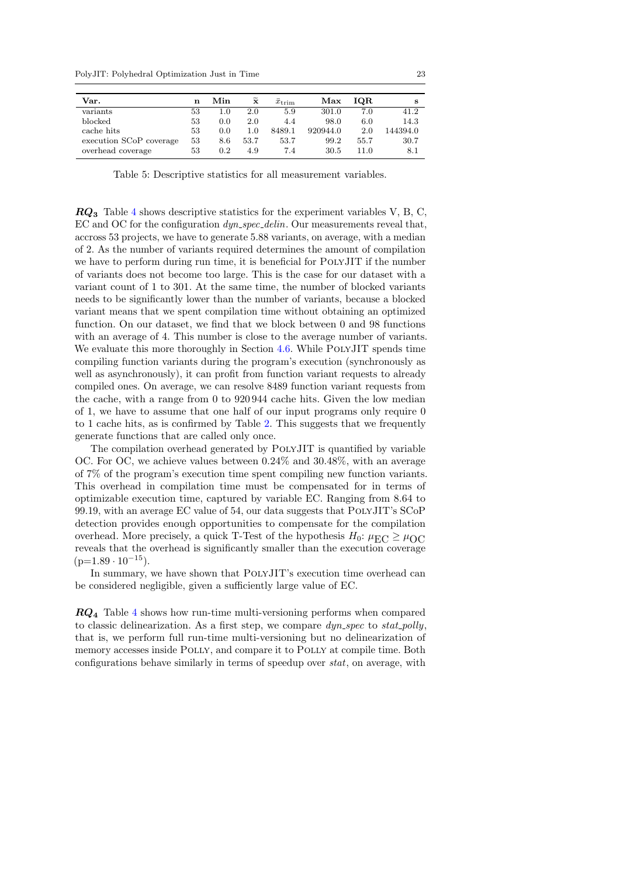PolyJIT: Polyhedral Optimization Just in Time 23

| Var.                    | n  | Min     | $\widetilde{\mathbf{x}}$ | $\bar{x}_{\text{trim}}$ | Max      | IOR  | s        |
|-------------------------|----|---------|--------------------------|-------------------------|----------|------|----------|
| variants                | 53 | $1.0\,$ | 2.0                      | 5.9                     | 301.0    | 7.0  | 41.2     |
| blocked                 | 53 | 0.0     | 2.0                      | 4.4                     | 98.0     | 6.0  | 14.3     |
| cache hits              | 53 | 0.0     | $1.0\,$                  | 8489.1                  | 920944.0 | 2.0  | 144394.0 |
| execution SCoP coverage | 53 | 8.6     | 53.7                     | 53.7                    | 99.2     | 55.7 | 30.7     |
| overhead coverage       | 53 | 0.2     | 4.9                      | 7.4                     | 30.5     | 11.0 | 8.1      |

Table 5: Descriptive statistics for all measurement variables.

 $RQ_3$  Table [4](#page-19-0) shows descriptive statistics for the experiment variables V, B, C, EC and OC for the configuration  $dyn\_spec\_delin$ . Our measurements reveal that, accross 53 projects, we have to generate 5.88 variants, on average, with a median of 2. As the number of variants required determines the amount of compilation we have to perform during run time, it is beneficial for POLYJIT if the number of variants does not become too large. This is the case for our dataset with a variant count of 1 to 301. At the same time, the number of blocked variants needs to be significantly lower than the number of variants, because a blocked variant means that we spent compilation time without obtaining an optimized function. On our dataset, we find that we block between 0 and 98 functions with an average of 4. This number is close to the average number of variants. We evaluate this more thoroughly in Section [4.6.](#page-23-0) While POLYJIT spends time compiling function variants during the program's execution (synchronously as well as asynchronously), it can profit from function variant requests to already compiled ones. On average, we can resolve 8489 function variant requests from the cache, with a range from 0 to 920 944 cache hits. Given the low median of 1, we have to assume that one half of our input programs only require 0 to 1 cache hits, as is confirmed by Table [2.](#page-31-0) This suggests that we frequently generate functions that are called only once.

The compilation overhead generated by PolyJIT is quantified by variable OC. For OC, we achieve values between 0.24% and 30.48%, with an average of 7% of the program's execution time spent compiling new function variants. This overhead in compilation time must be compensated for in terms of optimizable execution time, captured by variable EC. Ranging from 8.64 to 99.19, with an average EC value of 54, our data suggests that PolyJIT's SCoP detection provides enough opportunities to compensate for the compilation overhead. More precisely, a quick T-Test of the hypothesis  $H_0: \mu_{\text{EC}} \geq \mu_{\text{OC}}$ reveals that the overhead is significantly smaller than the execution coverage  $(p=1.89 \cdot 10^{-15})$ .

In summary, we have shown that PolyJIT's execution time overhead can be considered negligible, given a sufficiently large value of EC.

RQ<sup>4</sup> Table [4](#page-19-0) shows how run-time multi-versioning performs when compared to classic delinearization. As a first step, we compare  $\frac{dyn\_spec}{}$  to  $\frac{stat\_polly}{}$ . that is, we perform full run-time multi-versioning but no delinearization of memory accesses inside POLLY, and compare it to POLLY at compile time. Both configurations behave similarly in terms of speedup over stat, on average, with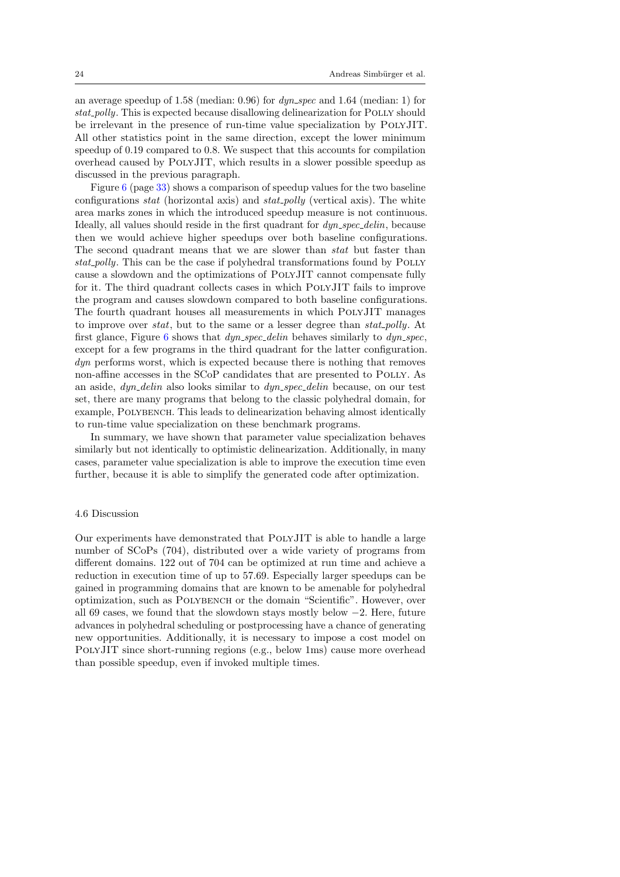an average speedup of 1.58 (median: 0.96) for  $dyn\_spec$  and 1.64 (median: 1) for stat *polly*. This is expected because disallowing delinearization for POLLY should be irrelevant in the presence of run-time value specialization by PolyJIT. All other statistics point in the same direction, except the lower minimum speedup of 0.19 compared to 0.8. We suspect that this accounts for compilation overhead caused by PolyJIT, which results in a slower possible speedup as discussed in the previous paragraph.

Figure [6](#page-32-0) (page [33\)](#page-32-0) shows a comparison of speedup values for the two baseline configurations *stat* (horizontal axis) and *stat\_polly* (vertical axis). The white area marks zones in which the introduced speedup measure is not continuous. Ideally, all values should reside in the first quadrant for *dyn\_spec\_delin*, because then we would achieve higher speedups over both baseline configurations. The second quadrant means that we are slower than *stat* but faster than stat polly. This can be the case if polyhedral transformations found by POLLY cause a slowdown and the optimizations of PolyJIT cannot compensate fully for it. The third quadrant collects cases in which PolyJIT fails to improve the program and causes slowdown compared to both baseline configurations. The fourth quadrant houses all measurements in which PolyJIT manages to improve over *stat*, but to the same or a lesser degree than *stat\_polly*. At first glance, Figure [6](#page-32-0) shows that  $dyn\_spec\_delin$  behaves similarly to  $dyn\_spec$ , except for a few programs in the third quadrant for the latter configuration. dyn performs worst, which is expected because there is nothing that removes non-affine accesses in the SCoP candidates that are presented to Polly. As an aside, *dyn\_delin* also looks similar to *dyn\_spec\_delin* because, on our test set, there are many programs that belong to the classic polyhedral domain, for example, Polybench. This leads to delinearization behaving almost identically to run-time value specialization on these benchmark programs.

In summary, we have shown that parameter value specialization behaves similarly but not identically to optimistic delinearization. Additionally, in many cases, parameter value specialization is able to improve the execution time even further, because it is able to simplify the generated code after optimization.

#### <span id="page-23-0"></span>4.6 Discussion

Our experiments have demonstrated that PolyJIT is able to handle a large number of SCoPs (704), distributed over a wide variety of programs from different domains. 122 out of 704 can be optimized at run time and achieve a reduction in execution time of up to 57.69. Especially larger speedups can be gained in programming domains that are known to be amenable for polyhedral optimization, such as Polybench or the domain "Scientific". However, over all 69 cases, we found that the slowdown stays mostly below  $-2$ . Here, future advances in polyhedral scheduling or postprocessing have a chance of generating new opportunities. Additionally, it is necessary to impose a cost model on PolyJIT since short-running regions (e.g., below 1ms) cause more overhead than possible speedup, even if invoked multiple times.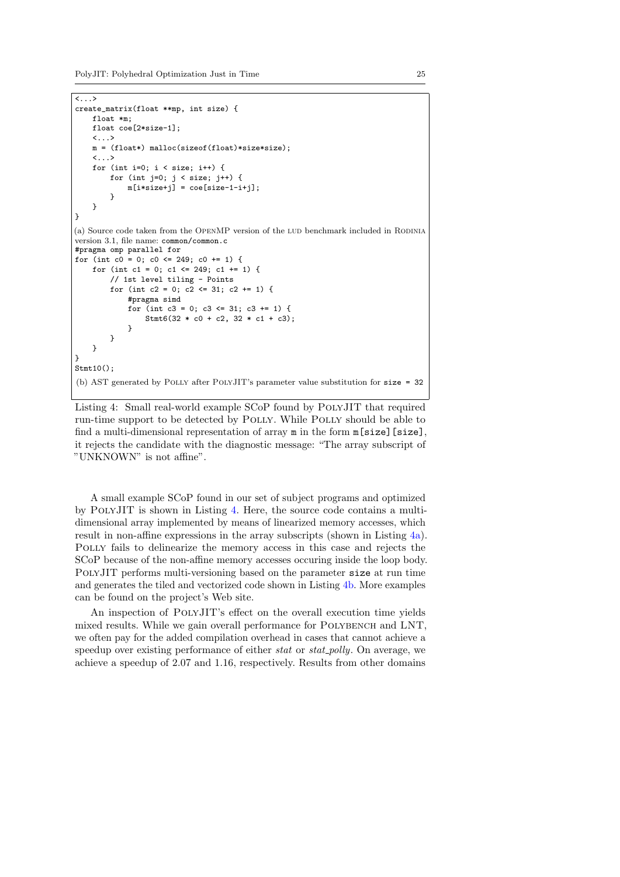PolyJIT: Polyhedral Optimization Just in Time 25

```
\overline{\langle \ldots \rangle}create_matrix(float **mp, int size) {
    float *m;
    float coe[2*size-1];
    \langle \ldots \ranglem = (float*) malloc(sizeof(float)*size*size);
    \langle \ldots \ranglefor (int i=0; i < size; i++) {
        for (int j=0; j < size; j++) {
             m[i*size+j] = coe[size-1-i+j];}
    }
}
(a) Source code taken from the OPENMP version of the LUD benchmark included in RODINIA
version 3.1, file name: common/common.c
#pragma omp parallel for
for (int c0 = 0; c0 \le 249; c0 += 1) {
    for (int c1 = 0; c1 <= 249; c1 += 1) {
         // 1st level tiling - Points
         for (int c2 = 0; c2 \le 31; c2 += 1) {
             #pragma simd
             for (int c3 = 0; c3 \le 31; c3 += 1) {
                  Stmt6(32 * c0 + c2, 32 * c1 + c3);
             }
         }
    }
}
Stmt10():
(b) AST generated by Polly after PolyJIT's parameter value substitution for size = 32
```
<span id="page-24-2"></span>Listing 4: Small real-world example SCoP found by PolyJIT that required run-time support to be detected by Polly. While Polly should be able to find a multi-dimensional representation of array  $m$  in the form  $m[size]$  [size], it rejects the candidate with the diagnostic message: "The array subscript of "UNKNOWN" is not affine".

A small example SCoP found in our set of subject programs and optimized by PolyJIT is shown in Listing [4.](#page-24-0) Here, the source code contains a multidimensional array implemented by means of linearized memory accesses, which result in non-affine expressions in the array subscripts (shown in Listing  $4a$ ). Polly fails to delinearize the memory access in this case and rejects the SCoP because of the non-affine memory accesses occuring inside the loop body. PolyJIT performs multi-versioning based on the parameter size at run time and generates the tiled and vectorized code shown in Listing [4b.](#page-24-2) More examples can be found on the project's Web site.

An inspection of PolyJIT's effect on the overall execution time yields mixed results. While we gain overall performance for POLYBENCH and LNT, we often pay for the added compilation overhead in cases that cannot achieve a speedup over existing performance of either *stat* or *stat\_polly*. On average, we achieve a speedup of 2.07 and 1.16, respectively. Results from other domains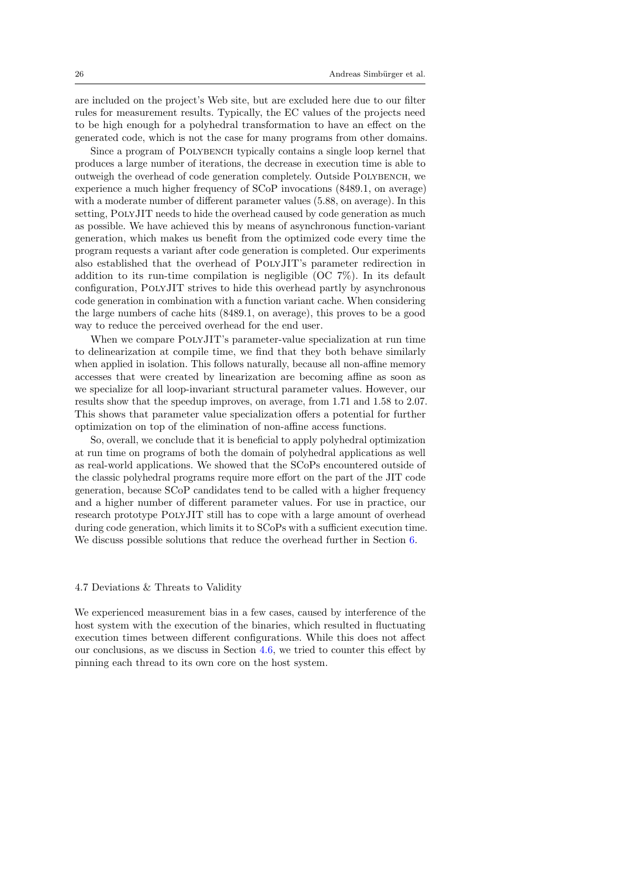are included on the project's Web site, but are excluded here due to our filter rules for measurement results. Typically, the EC values of the projects need to be high enough for a polyhedral transformation to have an effect on the generated code, which is not the case for many programs from other domains.

Since a program of POLYBENCH typically contains a single loop kernel that produces a large number of iterations, the decrease in execution time is able to outweigh the overhead of code generation completely. Outside POLYBENCH, we experience a much higher frequency of SCoP invocations (8489.1, on average) with a moderate number of different parameter values (5.88, on average). In this setting, PolyJIT needs to hide the overhead caused by code generation as much as possible. We have achieved this by means of asynchronous function-variant generation, which makes us benefit from the optimized code every time the program requests a variant after code generation is completed. Our experiments also established that the overhead of PolyJIT's parameter redirection in addition to its run-time compilation is negligible (OC 7%). In its default configuration, PolyJIT strives to hide this overhead partly by asynchronous code generation in combination with a function variant cache. When considering the large numbers of cache hits (8489.1, on average), this proves to be a good way to reduce the perceived overhead for the end user.

When we compare PolyJIT's parameter-value specialization at run time to delinearization at compile time, we find that they both behave similarly when applied in isolation. This follows naturally, because all non-affine memory accesses that were created by linearization are becoming affine as soon as we specialize for all loop-invariant structural parameter values. However, our results show that the speedup improves, on average, from 1.71 and 1.58 to 2.07. This shows that parameter value specialization offers a potential for further optimization on top of the elimination of non-affine access functions.

So, overall, we conclude that it is beneficial to apply polyhedral optimization at run time on programs of both the domain of polyhedral applications as well as real-world applications. We showed that the SCoPs encountered outside of the classic polyhedral programs require more effort on the part of the JIT code generation, because SCoP candidates tend to be called with a higher frequency and a higher number of different parameter values. For use in practice, our research prototype PolyJIT still has to cope with a large amount of overhead during code generation, which limits it to SCoPs with a sufficient execution time. We discuss possible solutions that reduce the overhead further in Section [6.](#page-27-0)

#### 4.7 Deviations & Threats to Validity

We experienced measurement bias in a few cases, caused by interference of the host system with the execution of the binaries, which resulted in fluctuating execution times between different configurations. While this does not affect our conclusions, as we discuss in Section [4.6,](#page-23-0) we tried to counter this effect by pinning each thread to its own core on the host system.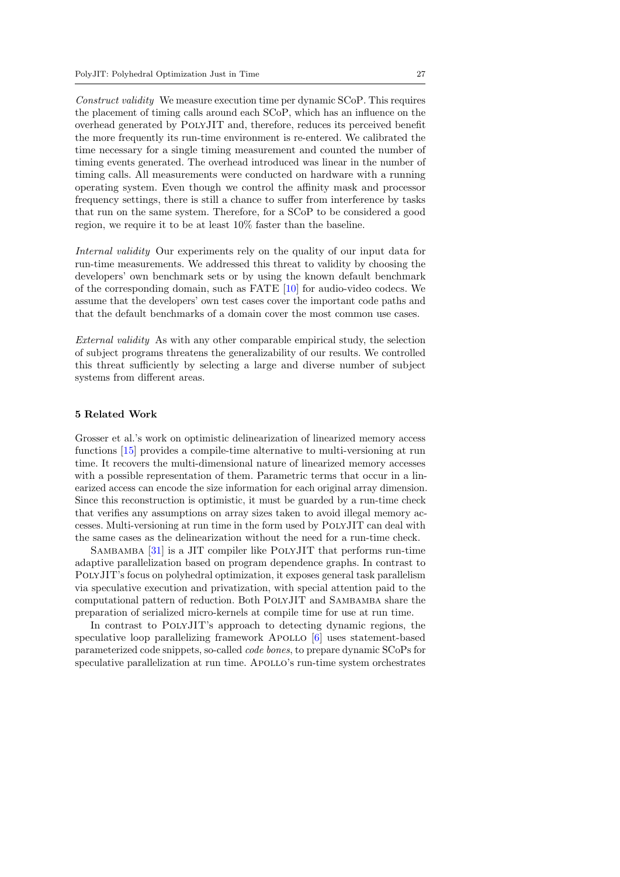Construct validity We measure execution time per dynamic SCoP. This requires the placement of timing calls around each SCoP, which has an influence on the overhead generated by PolyJIT and, therefore, reduces its perceived benefit the more frequently its run-time environment is re-entered. We calibrated the time necessary for a single timing measurement and counted the number of timing events generated. The overhead introduced was linear in the number of timing calls. All measurements were conducted on hardware with a running operating system. Even though we control the affinity mask and processor frequency settings, there is still a chance to suffer from interference by tasks that run on the same system. Therefore, for a SCoP to be considered a good region, we require it to be at least 10% faster than the baseline.

Internal validity Our experiments rely on the quality of our input data for run-time measurements. We addressed this threat to validity by choosing the developers' own benchmark sets or by using the known default benchmark of the corresponding domain, such as FATE [\[10\]](#page-28-11) for audio-video codecs. We assume that the developers' own test cases cover the important code paths and that the default benchmarks of a domain cover the most common use cases.

External validity As with any other comparable empirical study, the selection of subject programs threatens the generalizability of our results. We controlled this threat sufficiently by selecting a large and diverse number of subject systems from different areas.

### <span id="page-26-0"></span>5 Related Work

Grosser et al.'s work on optimistic delinearization of linearized memory access functions [\[15\]](#page-29-13) provides a compile-time alternative to multi-versioning at run time. It recovers the multi-dimensional nature of linearized memory accesses with a possible representation of them. Parametric terms that occur in a linearized access can encode the size information for each original array dimension. Since this reconstruction is optimistic, it must be guarded by a run-time check that verifies any assumptions on array sizes taken to avoid illegal memory accesses. Multi-versioning at run time in the form used by PolyJIT can deal with the same cases as the delinearization without the need for a run-time check.

Sambamba [\[31\]](#page-29-14) is a JIT compiler like PolyJIT that performs run-time adaptive parallelization based on program dependence graphs. In contrast to PolyJIT's focus on polyhedral optimization, it exposes general task parallelism via speculative execution and privatization, with special attention paid to the computational pattern of reduction. Both PolyJIT and Sambamba share the preparation of serialized micro-kernels at compile time for use at run time.

In contrast to PolyJIT's approach to detecting dynamic regions, the speculative loop parallelizing framework APOLLO [\[6\]](#page-28-12) uses statement-based parameterized code snippets, so-called code bones, to prepare dynamic SCoPs for speculative parallelization at run time. Apollo's run-time system orchestrates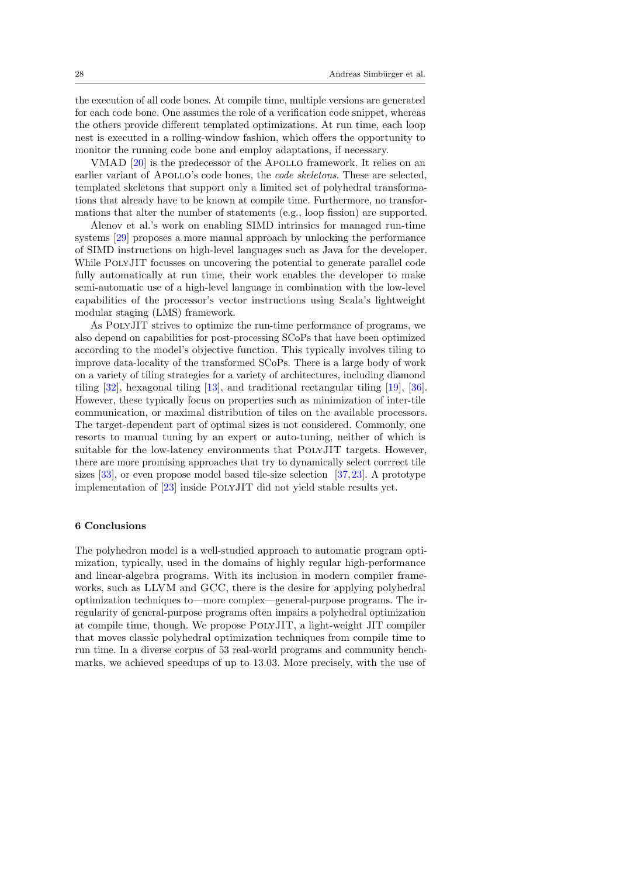the execution of all code bones. At compile time, multiple versions are generated for each code bone. One assumes the role of a verification code snippet, whereas the others provide different templated optimizations. At run time, each loop nest is executed in a rolling-window fashion, which offers the opportunity to monitor the running code bone and employ adaptations, if necessary.

VMAD [\[20\]](#page-29-15) is the predecessor of the APOLLO framework. It relies on an earlier variant of APOLLO's code bones, the *code skeletons*. These are selected, templated skeletons that support only a limited set of polyhedral transformations that already have to be known at compile time. Furthermore, no transformations that alter the number of statements (e.g., loop fission) are supported.

Alenov et al.'s work on enabling SIMD intrinsics for managed run-time systems [\[29\]](#page-29-16) proposes a more manual approach by unlocking the performance of SIMD instructions on high-level languages such as Java for the developer. While PolyJIT focusses on uncovering the potential to generate parallel code fully automatically at run time, their work enables the developer to make semi-automatic use of a high-level language in combination with the low-level capabilities of the processor's vector instructions using Scala's lightweight modular staging (LMS) framework.

As PolyJIT strives to optimize the run-time performance of programs, we also depend on capabilities for post-processing SCoPs that have been optimized according to the model's objective function. This typically involves tiling to improve data-locality of the transformed SCoPs. There is a large body of work on a variety of tiling strategies for a variety of architectures, including diamond tiling [\[32\]](#page-29-17), hexagonal tiling [\[13\]](#page-28-13), and traditional rectangular tiling [\[19\]](#page-29-18), [\[36\]](#page-30-0). However, these typically focus on properties such as minimization of inter-tile communication, or maximal distribution of tiles on the available processors. The target-dependent part of optimal sizes is not considered. Commonly, one resorts to manual tuning by an expert or auto-tuning, neither of which is suitable for the low-latency environments that PolyJIT targets. However, there are more promising approaches that try to dynamically select corrrect tile sizes [\[33\]](#page-29-19), or even propose model based tile-size selection [\[37,](#page-30-1)[23\]](#page-29-20). A prototype implementation of [\[23\]](#page-29-20) inside PolyJIT did not yield stable results yet.

## <span id="page-27-0"></span>6 Conclusions

The polyhedron model is a well-studied approach to automatic program optimization, typically, used in the domains of highly regular high-performance and linear-algebra programs. With its inclusion in modern compiler frameworks, such as LLVM and GCC, there is the desire for applying polyhedral optimization techniques to—more complex—general-purpose programs. The irregularity of general-purpose programs often impairs a polyhedral optimization at compile time, though. We propose PolyJIT, a light-weight JIT compiler that moves classic polyhedral optimization techniques from compile time to run time. In a diverse corpus of 53 real-world programs and community benchmarks, we achieved speedups of up to 13.03. More precisely, with the use of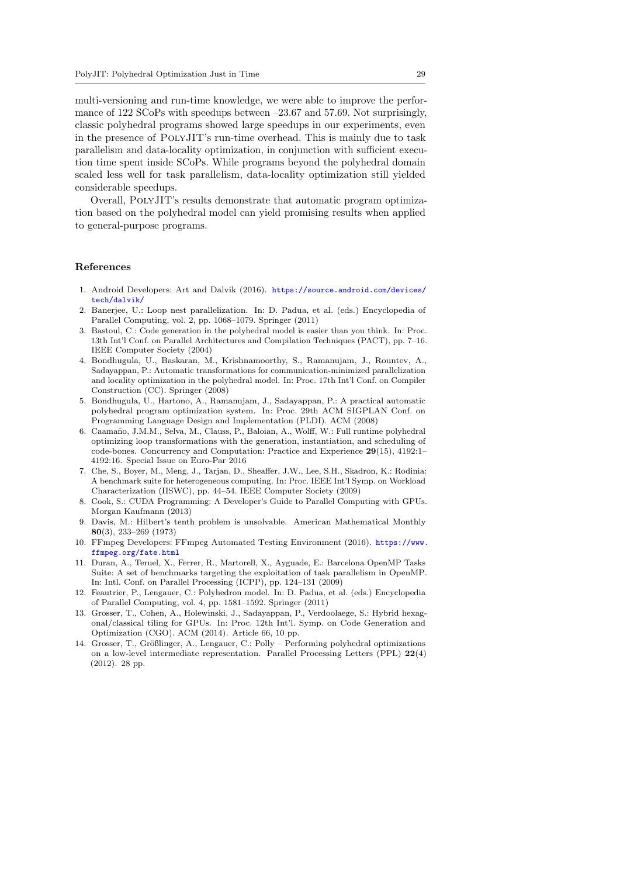multi-versioning and run-time knowledge, we were able to improve the performance of 122 SCoPs with speedups between  $-23.67$  and 57.69. Not surprisingly, classic polyhedral programs showed large speedups in our experiments, even in the presence of PolyJIT's run-time overhead. This is mainly due to task parallelism and data-locality optimization, in conjunction with sufficient execution time spent inside SCoPs. While programs beyond the polyhedral domain scaled less well for task parallelism, data-locality optimization still yielded considerable speedups.

Overall, PolyJIT's results demonstrate that automatic program optimization based on the polyhedral model can yield promising results when applied to general-purpose programs.

## References

- <span id="page-28-7"></span>1. Android Developers: Art and Dalvik (2016). [https://source.android.com/devices/](https://source.android.com/devices/tech/dalvik/) [tech/dalvik/](https://source.android.com/devices/tech/dalvik/)
- <span id="page-28-0"></span>2. Banerjee, U.: Loop nest parallelization. In: D. Padua, et al. (eds.) Encyclopedia of Parallel Computing, vol. 2, pp. 1068–1079. Springer (2011)
- <span id="page-28-5"></span>3. Bastoul, C.: Code generation in the polyhedral model is easier than you think. In: Proc. 13th Int'l Conf. on Parallel Architectures and Compilation Techniques (PACT), pp. 7–16. IEEE Computer Society (2004)
- <span id="page-28-2"></span>4. Bondhugula, U., Baskaran, M., Krishnamoorthy, S., Ramanujam, J., Rountev, A., Sadayappan, P.: Automatic transformations for communication-minimized parallelization and locality optimization in the polyhedral model. In: Proc. 17th Int'l Conf. on Compiler Construction (CC). Springer (2008)
- <span id="page-28-3"></span>5. Bondhugula, U., Hartono, A., Ramanujam, J., Sadayappan, P.: A practical automatic polyhedral program optimization system. In: Proc. 29th ACM SIGPLAN Conf. on Programming Language Design and Implementation (PLDI). ACM (2008)
- <span id="page-28-12"></span>6. Caamaño, J.M.M., Selva, M., Clauss, P., Baloian, A., Wolff, W.: Full runtime polyhedral optimizing loop transformations with the generation, instantiation, and scheduling of code-bones. Concurrency and Computation: Practice and Experience 29(15), 4192:1– 4192:16. Special Issue on Euro-Par 2016
- <span id="page-28-10"></span>7. Che, S., Boyer, M., Meng, J., Tarjan, D., Sheaffer, J.W., Lee, S.H., Skadron, K.: Rodinia: A benchmark suite for heterogeneous computing. In: Proc. IEEE Int'l Symp. on Workload Characterization (IISWC), pp. 44–54. IEEE Computer Society (2009)
- <span id="page-28-8"></span>8. Cook, S.: CUDA Programming: A Developer's Guide to Parallel Computing with GPUs. Morgan Kaufmann (2013)
- <span id="page-28-6"></span>9. Davis, M.: Hilbert's tenth problem is unsolvable. American Mathematical Monthly 80(3), 233–269 (1973)
- <span id="page-28-11"></span>10. FFmpeg Developers: FFmpeg Automated Testing Environment (2016). [https://www.](https://www.ffmpeg.org/fate.html) [ffmpeg.org/fate.html](https://www.ffmpeg.org/fate.html)
- <span id="page-28-9"></span>11. Duran, A., Teruel, X., Ferrer, R., Martorell, X., Ayguade, E.: Barcelona OpenMP Tasks Suite: A set of benchmarks targeting the exploitation of task parallelism in OpenMP. In: Intl. Conf. on Parallel Processing (ICPP), pp. 124–131 (2009)
- <span id="page-28-1"></span>12. Feautrier, P., Lengauer, C.: Polyhedron model. In: D. Padua, et al. (eds.) Encyclopedia of Parallel Computing, vol. 4, pp. 1581–1592. Springer (2011)
- <span id="page-28-13"></span>13. Grosser, T., Cohen, A., Holewinski, J., Sadayappan, P., Verdoolaege, S.: Hybrid hexagonal/classical tiling for GPUs. In: Proc. 12th Int'l. Symp. on Code Generation and Optimization (CGO). ACM (2014). Article 66, 10 pp.
- <span id="page-28-4"></span>14. Grosser, T., Größlinger, A., Lengauer, C.: Polly – Performing polyhedral optimizations on a low-level intermediate representation. Parallel Processing Letters (PPL) 22(4) (2012). 28 pp.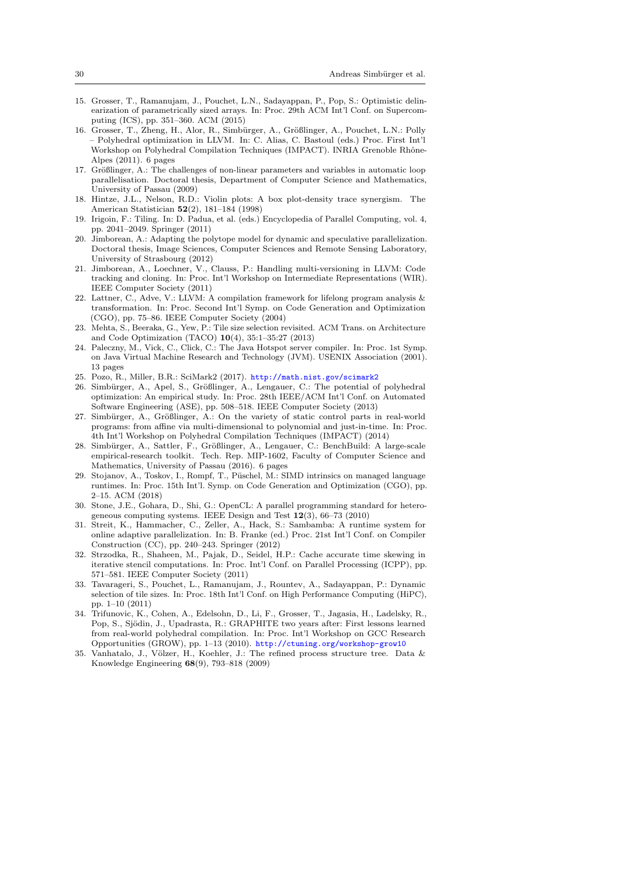- <span id="page-29-13"></span>15. Grosser, T., Ramanujam, J., Pouchet, L.N., Sadayappan, P., Pop, S.: Optimistic delinearization of parametrically sized arrays. In: Proc. 29th ACM Int'l Conf. on Supercomputing (ICS), pp. 351–360. ACM (2015)
- <span id="page-29-0"></span>16. Grosser, T., Zheng, H., Alor, R., Simbürger, A., Größlinger, A., Pouchet, L.N.: Polly – Polyhedral optimization in LLVM. In: C. Alias, C. Bastoul (eds.) Proc. First Int'l Workshop on Polyhedral Compilation Techniques (IMPACT). INRIA Grenoble Rhône-Alpes (2011). 6 pages
- <span id="page-29-2"></span>17. Größlinger, A.: The challenges of non-linear parameters and variables in automatic loop parallelisation. Doctoral thesis, Department of Computer Science and Mathematics, University of Passau (2009)
- <span id="page-29-12"></span>18. Hintze, J.L., Nelson, R.D.: Violin plots: A box plot-density trace synergism. The American Statistician 52(2), 181–184 (1998)
- <span id="page-29-18"></span>19. Irigoin, F.: Tiling. In: D. Padua, et al. (eds.) Encyclopedia of Parallel Computing, vol. 4, pp. 2041–2049. Springer (2011)
- <span id="page-29-15"></span>20. Jimborean, A.: Adapting the polytope model for dynamic and speculative parallelization. Doctoral thesis, Image Sciences, Computer Sciences and Remote Sensing Laboratory, University of Strasbourg (2012)
- <span id="page-29-8"></span>21. Jimborean, A., Loechner, V., Clauss, P.: Handling multi-versioning in LLVM: Code tracking and cloning. In: Proc. Int'l Workshop on Intermediate Representations (WIR). IEEE Computer Society (2011)
- <span id="page-29-5"></span>22. Lattner, C., Adve, V.: LLVM: A compilation framework for lifelong program analysis & transformation. In: Proc. Second Int'l Symp. on Code Generation and Optimization (CGO), pp. 75–86. IEEE Computer Society (2004)
- <span id="page-29-20"></span>23. Mehta, S., Beeraka, G., Yew, P.: Tile size selection revisited. ACM Trans. on Architecture and Code Optimization (TACO) 10(4), 35:1–35:27 (2013)
- <span id="page-29-4"></span>24. Paleczny, M., Vick, C., Click, C.: The Java Hotspot server compiler. In: Proc. 1st Symp. on Java Virtual Machine Research and Technology (JVM). USENIX Association (2001). 13 pages
- <span id="page-29-11"></span>25. Pozo, R., Miller, B.R.: SciMark2 (2017). <http://math.nist.gov/scimark2>
- <span id="page-29-3"></span>26. Simbürger, A., Apel, S., Größlinger, A., Lengauer, C.: The potential of polyhedral optimization: An empirical study. In: Proc. 28th IEEE/ACM Int'l Conf. on Automated Software Engineering (ASE), pp. 508–518. IEEE Computer Society (2013)
- <span id="page-29-10"></span>27. Simbürger, A., Größlinger, A.: On the variety of static control parts in real-world programs: from affine via multi-dimensional to polynomial and just-in-time. In: Proc. 4th Int'l Workshop on Polyhedral Compilation Techniques (IMPACT) (2014)
- <span id="page-29-9"></span>28. Simbürger, A., Sattler, F., Größlinger, A., Lengauer, C.: BenchBuild: A large-scale empirical-research toolkit. Tech. Rep. MIP-1602, Faculty of Computer Science and Mathematics, University of Passau (2016). 6 pages
- <span id="page-29-16"></span>29. Stojanov, A., Toskov, I., Rompf, T., Püschel, M.: SIMD intrinsics on managed language runtimes. In: Proc. 15th Int'l. Symp. on Code Generation and Optimization (CGO), pp. 2–15. ACM (2018)
- <span id="page-29-6"></span>30. Stone, J.E., Gohara, D., Shi, G.: OpenCL: A parallel programming standard for heterogeneous computing systems. IEEE Design and Test 12(3), 66–73 (2010)
- <span id="page-29-14"></span>31. Streit, K., Hammacher, C., Zeller, A., Hack, S.: Sambamba: A runtime system for online adaptive parallelization. In: B. Franke (ed.) Proc. 21st Int'l Conf. on Compiler Construction (CC), pp. 240–243. Springer (2012)
- <span id="page-29-17"></span>32. Strzodka, R., Shaheen, M., Pajak, D., Seidel, H.P.: Cache accurate time skewing in iterative stencil computations. In: Proc. Int'l Conf. on Parallel Processing (ICPP), pp. 571–581. IEEE Computer Society (2011)
- <span id="page-29-19"></span>33. Tavarageri, S., Pouchet, L., Ramanujam, J., Rountev, A., Sadayappan, P.: Dynamic selection of tile sizes. In: Proc. 18th Int'l Conf. on High Performance Computing (HiPC), pp. 1–10 (2011)
- <span id="page-29-1"></span>34. Trifunovic, K., Cohen, A., Edelsohn, D., Li, F., Grosser, T., Jagasia, H., Ladelsky, R., Pop, S., Sjödin, J., Upadrasta, R.: GRAPHITE two years after: First lessons learned from real-world polyhedral compilation. In: Proc. Int'l Workshop on GCC Research Opportunities (GROW), pp. 1–13 (2010). <http://ctuning.org/workshop-grow10>
- <span id="page-29-7"></span>35. Vanhatalo, J., Völzer, H., Koehler, J.: The refined process structure tree. Data & Knowledge Engineering 68(9), 793–818 (2009)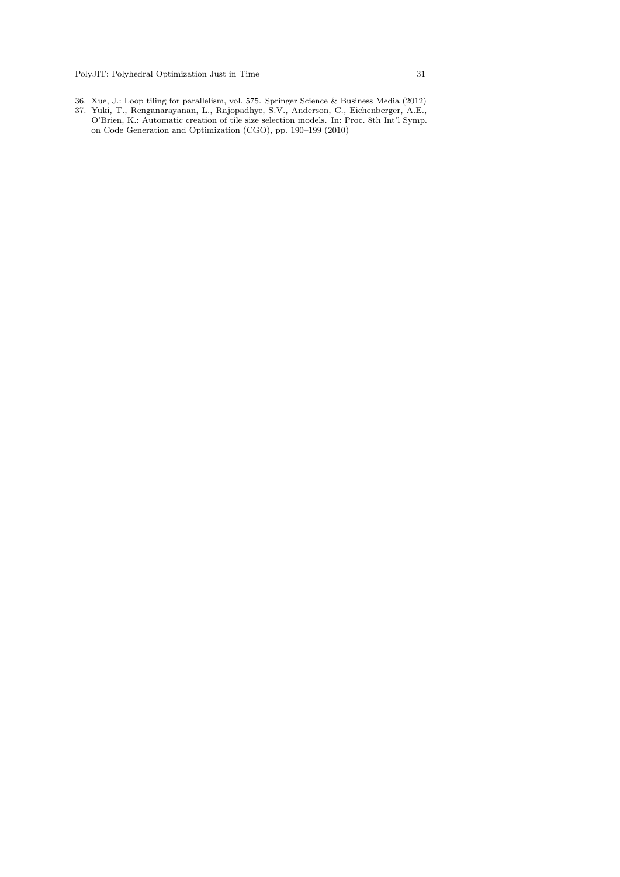- <span id="page-30-0"></span>36. Xue, J.: Loop tiling for parallelism, vol. 575. Springer Science & Business Media (2012)
- <span id="page-30-1"></span>37. Yuki, T., Renganarayanan, L., Rajopadhye, S.V., Anderson, C., Eichenberger, A.E., O'Brien, K.: Automatic creation of tile size selection models. In: Proc. 8th Int'l Symp. on Code Generation and Optimization (CGO), pp. 190–199 (2010)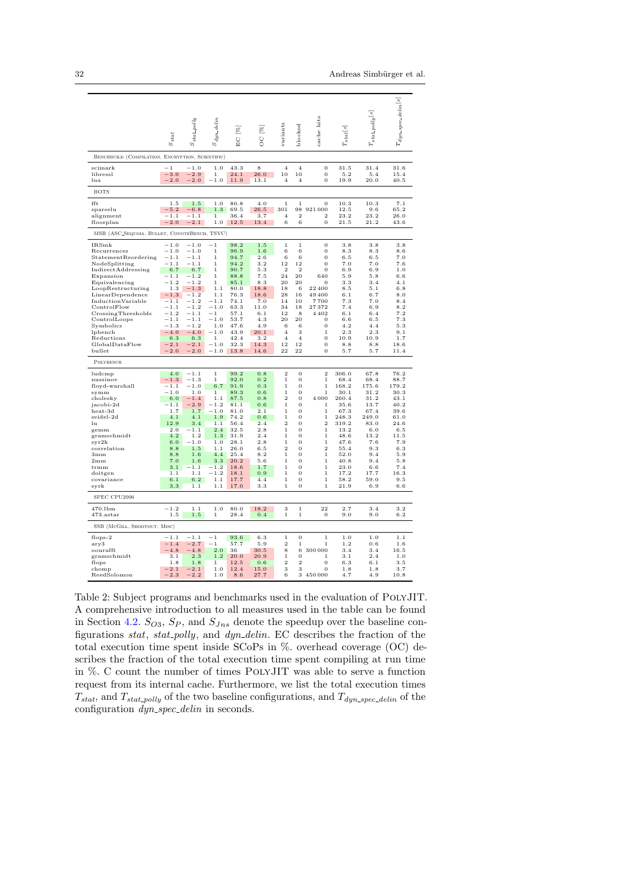<span id="page-31-0"></span>

|                                                  |                  |                  |                              |              |              |                               |                                  |                              |               |                     | $T_{dyn\_spec\_delin}[s]$ |
|--------------------------------------------------|------------------|------------------|------------------------------|--------------|--------------|-------------------------------|----------------------------------|------------------------------|---------------|---------------------|---------------------------|
|                                                  |                  |                  |                              |              |              |                               |                                  |                              |               |                     |                           |
|                                                  |                  |                  |                              |              |              |                               |                                  | hits                         |               | $T_{stat\_poly}[s]$ |                           |
|                                                  |                  | $_{stay}$        | $dyn\_delin$                 | P.           | bs.          | variants                      | blocked                          |                              |               |                     |                           |
|                                                  | stat             |                  |                              |              |              |                               |                                  | cache.                       | $T_{stat}[s]$ |                     |                           |
|                                                  | S                | S                | S                            | $_{\rm E}$   | °C           |                               |                                  |                              |               |                     |                           |
| BENCHBUILD (COMPILATION, ENCRYPTION, SCIENTIFIC) |                  |                  |                              |              |              |                               |                                  |                              |               |                     |                           |
| scimark                                          | $-1$             | $-1.0$           | 1.0                          | 43.3         | 8            | $\overline{4}$                | $\overline{4}$                   | $\bf{0}$                     | 31.5          | 31.4                | 31.6                      |
| libressl                                         | $-3.0$           | $-2.9$           | $\mathbf 1$                  | 24.1         | 26.0         | 10                            | 10                               | $\bf{0}$                     | 5.2           | 5.4                 | 15.4                      |
| lua                                              | $-2.0$           | $-2.0$           | $-1.0$                       | 11.9         | 13.1         | $\overline{4}$                | $\overline{4}$                   | $\boldsymbol{0}$             | 19.9          | 20.0                | 40.5                      |
| <b>BOTS</b>                                      |                  |                  |                              |              |              |                               |                                  |                              |               |                     |                           |
| fft                                              | 1.5              | 1.5              | 1.0                          | 80.8         | 4.0          | $\mathbf{1}$                  | $\,1$                            | 0                            | 10.3          | 10.3                | 7.1                       |
| sparselu                                         | $-5.2$           | $-6.8$           | $1.3\,$                      | 69.5         | 26.5         | 301                           |                                  | 98 921 000                   | 12.5          | 9.6                 | 65.2                      |
| alignment<br>floorplan                           | $-1.1$<br>$-2.0$ | $-1.1$<br>$-2.1$ | $\mathbf{1}$<br>1.0          | 36.4<br>12.5 | 3.7<br>13.4  | $\overline{4}$<br>6           | $\overline{2}$<br>6              | $\overline{2}$<br>0          | 23.2<br>21.5  | 23.2<br>21.2        | 26.0<br>43.6              |
|                                                  |                  |                  |                              |              |              |                               |                                  |                              |               |                     |                           |
| MSB (ASC_SEQUOIA, BULLET, COYOTEBENCH, TSVC)     |                  |                  |                              |              |              |                               |                                  |                              |               |                     |                           |
| IRSmk                                            | $-1.0$           | $-1.0$           | $^{-1}$                      | 98.2         | 1.5          | $\mathbf 1$                   | $\mathbf 1$                      | $\mathbf{0}$                 | 3.8           | 3.8                 | 3.8                       |
| Recurrences<br>StatementReordering               | $-1.0$<br>$-1.1$ | $-1.0$<br>$-1.1$ | $\mathbf{1}$<br>$\mathbf{1}$ | 96.9<br>94.7 | 1.6<br>2.6   | 6<br>6                        | 6<br>6                           | 0<br>$\bf{0}$                | 8.3<br>6.5    | 8.3<br>6.5          | 8.6<br>7.0                |
| NodeSplitting                                    | $-1.1$           | $-1.1$           | $\mathbf{1}$                 | 94.2         | 3.2          | 12                            | 12                               | $\bf{0}$                     | 7.0           | 7.0                 | 7.6                       |
| IndirectAddressing                               | 6.7              | 6.7              | $\mathbf{1}$                 | 90.7         | 5.3          | $\overline{2}$                | $\overline{2}$                   | 0                            | 6.9           | 6.9                 | 1.0                       |
| Expansion                                        | $-1.1$           | $-1.2$           | $\mathbf{1}$                 | 88.8         | 7.5          | 24                            | 20                               | 640                          | 5.9           | 5.8                 | 6.6                       |
| Equivalencing                                    | $-1.2$           | $-1.2$           | 1                            | 85.1         | 8.3          | 20                            | 20                               | $\mathbf{0}$                 | 3.3           | 3.4                 | 4.1                       |
| LoopRestructuring                                | 1.3              | $-1.3$<br>$-1.2$ | $1\,.1$<br>1.1               | 80.0<br>76.3 | 18.8<br>18.6 | 18<br>28                      | 6<br>16                          | 22400<br>49 400              | 8.5<br>6.1    | 5.1<br>6.7          | 6.8<br>8.0                |
| LinearDependence<br>InductionVariable            | $-1.3$<br>$-1.1$ | $-1.2$           | $-1.1$                       | 74.1         | 7.0          | 14                            | 10                               | 7700                         | 7.3           | 7.0                 | 8.4                       |
| ControlFlow                                      | $-1.1$           | $-1.2$           | $-1.0$                       | 63.3         | 11.0         | 34                            | 18                               | 27372                        | 7.4           | 6.9                 | 8.2                       |
| CrossingThresholds                               | $-1.2$           | $-1.1$           | $- \, 1$                     | 57.1         | 6.1          | 12                            | 8                                | 4402                         | 6.1           | 6.4                 | 7.2                       |
| ControlLoops                                     | $-1.1$           | $-1.1$           | $-1.0$                       | 53.7         | 4.3          | 20                            | 20                               | $\bf{0}$                     | 6.6           | 6.5                 | 7.3                       |
| Symbolics                                        | $-1.3$           | $-1.2$           | 1.0                          | 47.6         | 4.9          | 6                             | 6                                | $\bf{0}$                     | 4.2           | 4.4                 | 5.3                       |
| lpbench<br>Reductions                            | $-4.0$<br>6.3    | $-4.0$<br>6.3    | $-1.0$<br>1                  | 43.9<br>42.4 | 20.1<br>3.2  | 4<br>$\overline{4}$           | 3<br>$\overline{4}$              | $\,1$<br>$\mathbf{0}$        | 2.3<br>10.9   | 2.3<br>10.9         | 9.1<br>1.7                |
| GlobalDataFlow                                   | $-2.1$           | $-2.1$           | $-1.0$                       | 32.3         | 14.3         | 12                            | 12                               | $\Omega$                     | 8.8           | 8.8                 | 18.6                      |
| bullet                                           | $-2.0$           | $-2.0$           | $-1.0$                       | 13.8         | 14.6         | 22                            | 22                               | $\bf{0}$                     | 5.7           | 5.7                 | 11.4                      |
| POLYBENCH                                        |                  |                  |                              |              |              |                               |                                  |                              |               |                     |                           |
| ludcmp                                           | 4.0              | $-1.1$           | $\mathbf 1$                  | 99.2         | 0.8          | $\overline{2}$                | $\overline{0}$                   | $\overline{2}$               | 306.0         | 67.8                | 76.2                      |
| nussinov                                         | $-1.3$           | $-1.3$           | $\mathbf 1$                  | 92.0         | 0.2          | $\,1\,$                       | $\overline{0}$                   | $\,1$                        | 68.4          | 68.4                | 88.7                      |
| floyd-warshall                                   | $-1.1$           | $-1.0$           | 6.7                          | 91.9         | 0.3          | $\mathbf 1$                   | $\bf{0}$                         | $\,1$                        | 168.2         | 175.6               | 179.2                     |
| symm                                             | $-1.0$           | 1.0              | 1                            | 89.3         | 0.6          | $\mathbf 1$                   | $\mathbf{0}$                     | 1                            | 30.1          | 31.2                | 30.3                      |
| cholesky                                         | 6.0              | $-1.4$           | 1.1                          | 87.5         | 0.8          | $\overline{2}$                | $\mathbf{0}$                     | 4000                         | 260.4         | 31.2                | 43.1                      |
| jacobi-2d<br>heat-3d                             | $-1.1$<br>1.7    | $-2.9$<br>1.7    | $-1.2$<br>$-1.0$             | 81.1<br>81.0 | 0.6<br>2.1   | $\mathbf 1$<br>$\mathbf 1$    | $\overline{0}$<br>0              | $\,1\,$<br>$\,1$             | 35.6<br>67.3  | 13.7<br>67.4        | 40.2<br>39.6              |
| seidel-2d                                        | 4.1              | 4.1              | 1.9                          | 74.2         | 0.6          | $\mathbf 1$                   | $\overline{0}$                   | 1                            | 248.3         | 249.0               | 61.0                      |
| $\mathbf{1}_{11}$                                | 12.9             | 3.4              | $1\,.1$                      | 56.4         | 2.4          | $\overline{2}$                | $\overline{0}$                   | $\overline{2}$               | 319.2         | 83.0                | 24.6                      |
| gemm                                             | 2.0              | $-1.1$           | 2.4                          | 32.5         | 2.8          | $\mathbf{1}$                  | $\mathbf{0}$                     | $\,1$                        | 13.2          | 6.0                 | 6.5                       |
| gramschmidt                                      | 4.2              | 1.2              | $1.3\,$                      | 31.9         | 2.4          | $\mathbf{1}$                  | $\overline{0}$                   | $\mathbf 1$                  | 48.6          | 13.2                | 11.5                      |
| syr2k<br>correlation                             | 6.0<br>8.8       | $-1.0$<br>1.5    | 1.0<br>1.1                   | 28.1<br>26.0 | 2.8<br>6.5   | $\mathbf 1$<br>$\overline{2}$ | $\bf{0}$<br>$\overline{0}$       | $\,1$<br>$\mathcal{D}$       | 47.6<br>55.4  | 7.6<br>9.3          | 7.9<br>6.3                |
| 3mm                                              | 8.8              | 1.6              | 4.4                          | 25.4         | 8.2          | $\mathbf{1}$                  | $\overline{0}$                   | $\mathbf{1}$                 | 52.0          | 9.4                 | 5.9                       |
| 2mm                                              | 7.0              | 1.6              | 3.3                          | 20.2         | 5.6          | $\mathbf 1$                   | 0                                | $\,1$                        | 40.8          | 9.4                 | 5.8                       |
| $t$ rmm                                          | 3.1              | $-1.1$           | $-1.2$                       | 18.6         | 1.7          | $\mathbf{1}$                  | $\overline{0}$                   | $\,1\,$                      | 23.0          | 6.6                 | 7.4                       |
| doitgen                                          | 1.1              | 1.1              | $-1.2$                       | 18.1         | 0.9          | $\mathbf{1}$                  | $\overline{0}$                   | $\,1$                        | 17.2          | 17.7                | 16.3                      |
| covariance<br>syrk                               | 6.1<br>3.3       | $6.2\,$<br>1.1   | 1.1<br>1.1                   | 17.7<br>17.0 | 4.4<br>3.3   | 1<br>$\mathbf{1}$             | $\overline{0}$<br>$\overline{0}$ | $\mathbf{1}$<br>$\mathbf{1}$ | 58.2<br>21.9  | 59.0<br>6.9         | 9.5<br>6.6                |
| SPEC CPU2006                                     |                  |                  |                              |              |              |                               |                                  |                              |               |                     |                           |
|                                                  |                  |                  |                              |              |              |                               |                                  |                              |               |                     |                           |
| 470.1 <sub>bm</sub><br>473.astar                 | $-1.2$<br>1.5    | 1.1<br>1.5       | 1.0<br>$\mathbf{1}$          | 80.0<br>28.4 | 18.2<br>0.4  | 3<br>$\mathbf 1$              | $\mathbf 1$<br>$\mathbf 1$       | 22<br>$\mathbf{0}$           | 2.7<br>9.0    | 3.4<br>9.0          | 3.2<br>6.2                |
| SSB (McGILL, SHOOTOUT, MISC)                     |                  |                  |                              |              |              |                               |                                  |                              |               |                     |                           |
| $flops-2$                                        | $-1.1$           | $-1.1$           | $-1$                         | 93.6         | 6.3          | $\mathbf 1$                   | 0                                | $\,1$                        | 1.0           | 1.0                 | 1.1                       |
| $\arg 3$                                         | $-1.4$           | $-2.7$           | $-1$                         | 57.7         | 5.9          | $\overline{2}$                | $\,1$                            | $\mathbf 1$                  | 1.2           | 0.6                 | 1.6                       |
| oourafft                                         | $-4.8$           | $-4.8$           | 2.0                          | 36           | 30.5         | 8                             | 6                                | 300 000                      | 3.4           | 3.4                 | 16.5                      |
| gramschmidt                                      | 3.1              | 2.3              | 1.2                          | 20.0         | 20.9         | $\mathbf 1$                   | $\overline{0}$                   | $\mathbf{1}$                 | 3.1           | 2.4                 | 1.0                       |
| flops<br>chomp                                   | 1.8<br>$-2.1$    | 1.8<br>$-2.1$    | $\,1\,$<br>1.0               | 12.5<br>12.4 | 0.6<br>15.0  | $\overline{2}$<br>3           | $\overline{2}$<br>3              | 0<br>0                       | 6.3<br>1.8    | 6.1<br>1.8          | 3.5<br>3.7                |
| ReedSolomon                                      | $-2.3$           | $-2.2$           | 1.0                          | 8.6          | 27.7         | 6                             | 3                                | 450000                       | 4.7           | 4.9                 | 10.8                      |
|                                                  |                  |                  |                              |              |              |                               |                                  |                              |               |                     |                           |

Table 2: Subject programs and benchmarks used in the evaluation of PolyJIT. A comprehensive introduction to all measures used in the table can be found in Section [4.2.](#page-12-0)  $S_{O3}$ ,  $S_P$ , and  $S_{Jns}$  denote the speedup over the baseline configurations stat, stat\_polly, and dyn\_delin. EC describes the fraction of the total execution time spent inside SCoPs in %. overhead coverage (OC) describes the fraction of the total execution time spent compiling at run time in %. C count the number of times PolyJIT was able to serve a function request from its internal cache. Furthermore, we list the total execution times  $T_{stat}$ , and  $T_{stat\_poly}$  of the two baseline configurations, and  $T_{dyn\_spec\_delin}$  of the configuration  $dyn\_spec\_delin$  in seconds.